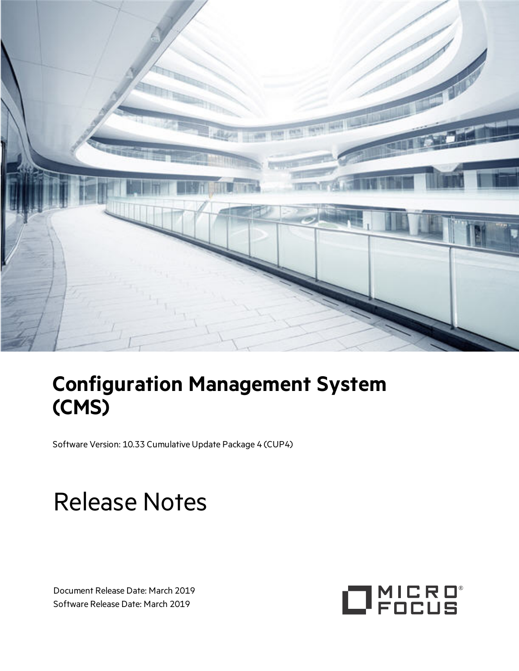

## **Configuration Management System (CMS)**

Software Version: 10.33 Cumulative Update Package 4 (CUP4)

# Release Notes

Document Release Date: March 2019 Software Release Date: March 2019

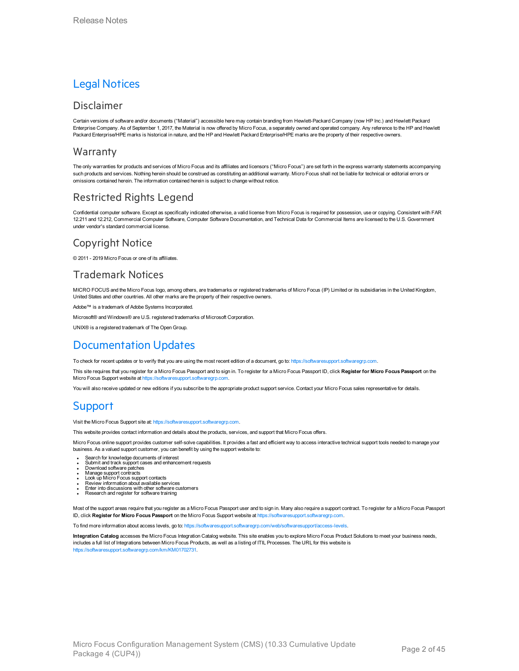### Legal Notices

#### Disclaimer

Certain versions of software and/or documents ("Material") accessible here may contain branding from Hewlett-Packard Company (now HP Inc.) and Hewlett Packard Enterprise Company. As of September 1, 2017, the Material is now offered by Micro Focus, a separately owned and operated company. Any reference to the HP and Hewlett Packard Enterprise/HPE marks is historical in nature, and the HP and Hewlett Packard Enterprise/HPE marks are the property of their respective owners.

#### Warranty

The only warranties for products and services of Micro Focus and its affiliates and licensors ("Micro Focus") are set forth in the express warranty statements accompanying such products and services. Nothing herein should be construed as constituting an additional warranty. Micro Focus shall not be liable for technical or editorial errors or omissions contained herein. The information contained herein is subject to change without notice.

### Restricted Rights Legend

Confidential computer software. Except as specifically indicated otherwise, a valid license from Micro Focus is required for possession, use or copying. Consistent with FAR 12.211 and 12.212, Commercial Computer Software, Computer Software Documentation, and Technical Data for Commercial Items are licensed to the U.S. Government under vendor's standard commercial license.

### Copyright Notice

© 2011 - 2019 Micro Focus or one of its affiliates.

### Trademark Notices

MICRO FOCUS and the Micro Focus logo, among others, are trademarks or registered trademarks of Micro Focus (IP) Limited or its subsidiaries in the United Kingdom, United States and other countries. All other marks are the property of their respective owners.

Adobe™ is a trademark of Adobe Systems Incorporated.

Microsoft® and Windows® are U.S. registered trademarks of Microsoft Corporation.

UNIX<sup>®</sup> is a registered trademark of The Open Group.

### Documentation Updates

To check for recent updates or to verify that you are using the most recent edition of a document, go to: [https://softwaresupport.softwaregrp.com.](https://softwaresupport.softwaregrp.com/)

This site requires that you register for a Micro Focus Passport and to sign in. To register for a Micro Focus Passport ID, click **Register for Micro Focus Passport** on the Micro Focus Support website at [https://softwaresupport.softwaregrp.com](https://softwaresupport.softwaregrp.com/).

You will also receive updated or new editions if you subscribe to the appropriate product support service. Contact your Micro Focus sales representative for details.

### **Support**

Visit the Micro Focus Support site at: [https://softwaresupport.softwaregrp.com](https://softwaresupport.softwaregrp.com/).

This website provides contact information and details about the products, services, and support that Micro Focus offers.

Micro Focus online support provides customer self-solve capabilities. It provides a fast and efficient way to access interactive technical support tools needed to manage your business. As a valued support customer, you can benefit by using the support website to:

- Search for knowledge documents of interest<br>• Submit and track support cases and enhancement requests<br>• Download software patches
- 
- Manage support contracts
- 
- <sup>l</sup> Look up Micro Focus support contacts <sup>l</sup> Review information about available services <sup>l</sup> Enter into discussions with other software customers <sup>l</sup> Research and register for software training
- 
- 

Most of the support areas require that you register as a Micro Focus Passport user and to sign in. Many also require a support contract. To register for a Micro Focus Passport ID, click **Register for Micro Focus Passport** on the Micro Focus Support website at [https://softwaresupport.softwaregrp.com](https://softwaresupport.softwaregrp.com/).

To find more information about access levels, go to: [https://softwaresupport.softwaregrp.com/web/softwaresupport/access-levels.](https://softwaresupport.softwaregrp.com/web/softwaresupport/access-levels)

**Integration Catalog** accesses the Micro Focus Integration Catalog website. This site enables you to explore Micro Focus Product Solutions to meet your business needs, includes a full list of Integrations between Micro Focus Products, as well as a listing of ITIL Processes. The URL for this website is [https://softwaresupport.softwaregrp.com/km/KM01702731.](https://softwaresupport.softwaregrp.com/km/KM01702731)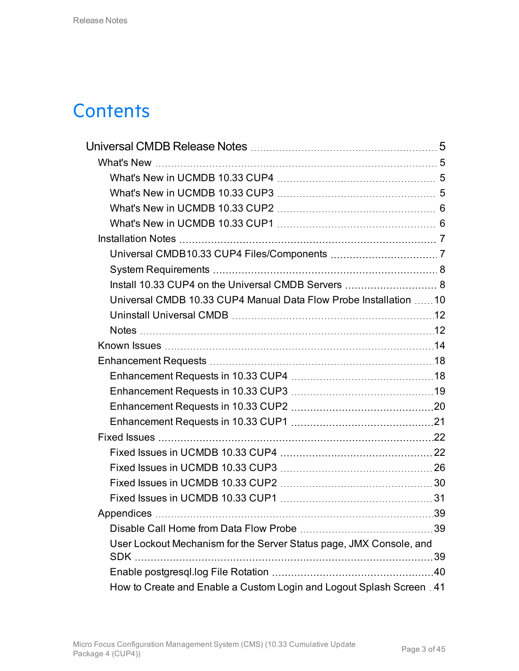## **Contents**

| Universal CMDB 10.33 CUP4 Manual Data Flow Probe Installation 10     |    |
|----------------------------------------------------------------------|----|
|                                                                      |    |
|                                                                      |    |
|                                                                      |    |
|                                                                      |    |
|                                                                      |    |
|                                                                      |    |
|                                                                      |    |
|                                                                      |    |
|                                                                      |    |
|                                                                      |    |
|                                                                      |    |
|                                                                      |    |
|                                                                      |    |
|                                                                      |    |
|                                                                      | 39 |
| User Lockout Mechanism for the Server Status page, JMX Console, and  |    |
|                                                                      |    |
| How to Create and Enable a Custom Login and Logout Splash Screen .41 |    |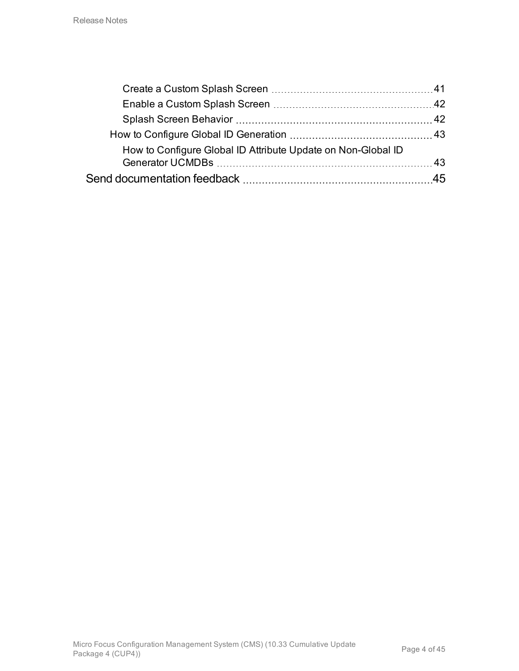| How to Configure Global ID Attribute Update on Non-Global ID |  |
|--------------------------------------------------------------|--|
|                                                              |  |
|                                                              |  |
|                                                              |  |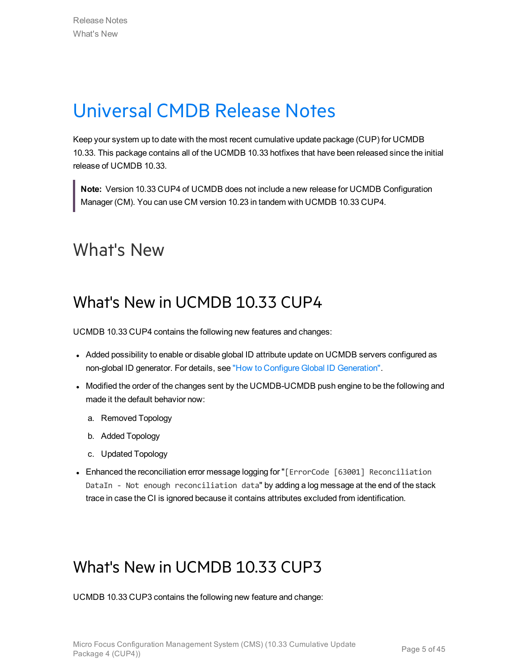## <span id="page-4-0"></span>Universal CMDB Release Notes

Keep your system up to date with the most recent cumulative update package (CUP) for UCMDB 10.33. This package contains all of the UCMDB 10.33 hotfixes that have been released since the initial release of UCMDB 10.33.

**Note:** Version 10.33 CUP4 of UCMDB does not include a new release for UCMDB Configuration Manager (CM). You can use CM version 10.23 in tandem with UCMDB 10.33 CUP4.

## <span id="page-4-2"></span><span id="page-4-1"></span>What's New

### What's New in UCMDB 10.33 CUP4

UCMDB 10.33 CUP4 contains the following new features and changes:

- Added possibility to enable or disable global ID attribute update on UCMDB servers configured as non-global ID generator. For details, see "How to Configure Global ID [Generation"](#page-42-0).
- Modified the order of the changes sent by the UCMDB-UCMDB push engine to be the following and made it the default behavior now:
	- a. Removed Topology
	- b. Added Topology
	- c. Updated Topology
- Enhanced the reconciliation error message logging for "[ErrorCode [63001] Reconciliation DataIn - Not enough reconciliation data" by adding a log message at the end of the stack trace in case the CI is ignored because it contains attributes excluded from identification.

### <span id="page-4-3"></span>What's New in UCMDB 10.33 CUP3

UCMDB 10.33 CUP3 contains the following new feature and change: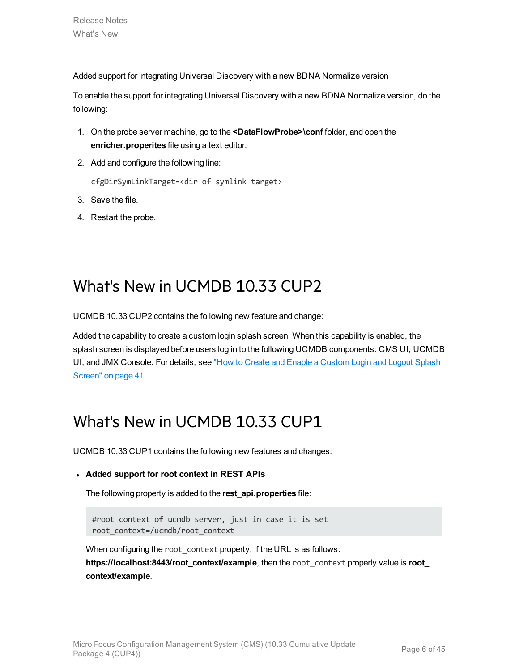Added support for integrating Universal Discovery with a new BDNA Normalize version

To enable the support for integrating Universal Discovery with a new BDNA Normalize version, do the following:

- 1. On the probe server machine, go to the **<DataFlowProbe>\conf** folder, and open the **enricher.properites** file using a text editor.
- 2. Add and configure the following line:

cfgDirSymLinkTarget=<dir of symlink target>

- 3. Save the file.
- 4. Restart the probe.

## <span id="page-5-0"></span>What's New in UCMDB 10.33 CUP2

UCMDB 10.33 CUP2 contains the following new feature and change:

Added the capability to create a custom login splash screen. When this capability is enabled, the splash screen is displayed before users log in to the following UCMDB components: CMS UI, UCMDB UI, and JMX Console. For details, see "How to Create and Enable a [Custom](#page-40-0) Login and Logout Splash [Screen"](#page-40-0) on page 41.

## <span id="page-5-1"></span>What's New in UCMDB 10.33 CUP1

UCMDB 10.33 CUP1 contains the following new features and changes:

#### <sup>l</sup> **Added support for root context in REST APIs**

The following property is added to the **rest\_api.properties** file:

#root context of ucmdb server, just in case it is set root\_context=/ucmdb/root\_context

When configuring the root context property, if the URL is as follows: **https://localhost:8443/root\_context/example**, then the root\_context properly value is **root\_ context/example**.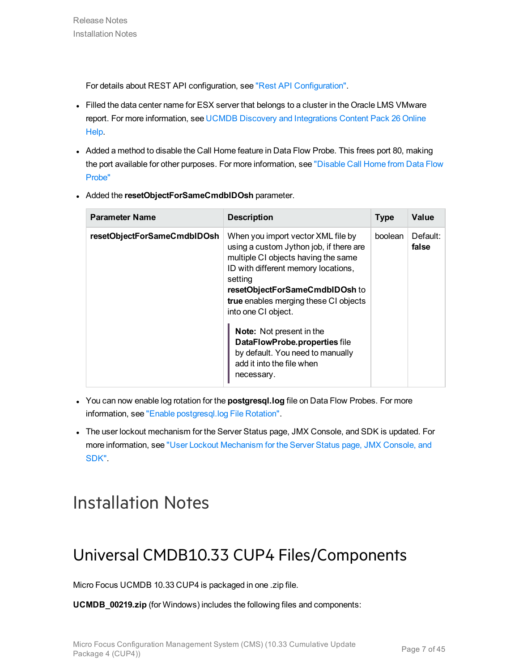For details about REST API configuration, see "Rest API [Configuration".](https://docs.microfocus.com/itom/Universal_CMDB:11.0/REST_API/REST_API_Deploy_Configure)

- Filled the data center name for ESX server that belongs to a cluster in the Oracle LMS VMware report. For more information, see UCMDB Discovery and [Integrations](https://docs.microfocus.com/itom/Universal_Discovery_Content_Pack:26/Home) Content Pack 26 Online [Help.](https://docs.microfocus.com/itom/Universal_Discovery_Content_Pack:26/Home)
- Added a method to disable the Call Home feature in Data Flow Probe. This frees port 80, making the port available for other purposes. For more information, see ["Disable](#page-38-1) Call Home from Data Flow [Probe"](#page-38-1)
- **.** Added the **resetObjectForSameCmdbIDOsh** parameter.

| <b>Parameter Name</b>       | <b>Description</b>                                                                                                                                                                                                                                                       | <b>Type</b> | Value             |
|-----------------------------|--------------------------------------------------------------------------------------------------------------------------------------------------------------------------------------------------------------------------------------------------------------------------|-------------|-------------------|
| resetObjectForSameCmdbIDOsh | When you import vector XML file by<br>using a custom Jython job, if there are<br>multiple CI objects having the same<br>ID with different memory locations,<br>setting<br>resetObjectForSameCmdbIDOsh to<br>true enables merging these CI objects<br>into one CI object. | boolean     | Default:<br>false |
|                             | Note: Not present in the<br>DataFlowProbe.properties file<br>by default. You need to manually<br>add it into the file when<br>necessary.                                                                                                                                 |             |                   |

- **.** You can now enable log rotation for the **postgresql.log** file on Data Flow Probes. For more information, see "Enable [postgresql.log](#page-39-0) File Rotation".
- The user lockout mechanism for the Server Status page, JMX Console, and SDK is updated. For more information, see "User Lockout [Mechanism](#page-38-2) for the Server Status page, JMX Console, and [SDK"](#page-38-2).

## <span id="page-6-1"></span><span id="page-6-0"></span>Installation Notes

## Universal CMDB10.33 CUP4 Files/Components

Micro Focus UCMDB 10.33 CUP4 is packaged in one .zip file.

**UCMDB\_00219.zip** (for Windows) includes the following files and components: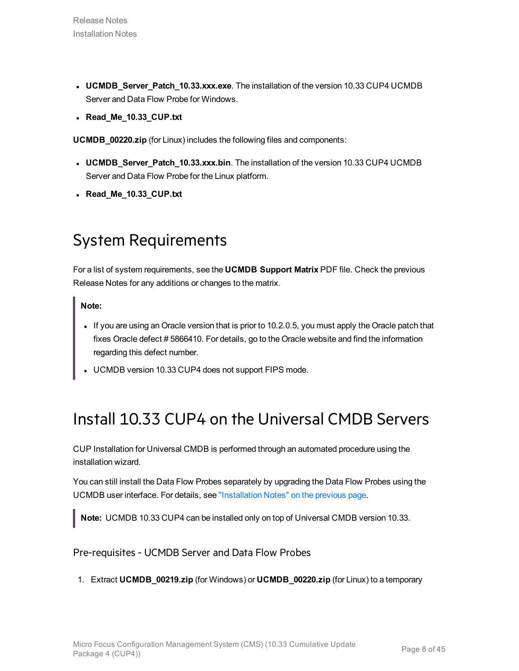- **.** UCMDB\_Server\_Patch\_10.33.xxx.exe. The installation of the version 10.33 CUP4 UCMDB Server and Data Flow Probe for Windows.
- <sup>l</sup> **Read\_Me\_10.33\_CUP.txt**

**UCMDB\_00220.zip** (for Linux) includes the following files and components:

- **UCMDB\_Server\_Patch\_10.33.xxx.bin**. The installation of the version 10.33 CUP4 UCMDB Server and Data Flow Probe for the Linux platform.
- <span id="page-7-0"></span><sup>l</sup> **Read\_Me\_10.33\_CUP.txt**

## System Requirements

For a list of system requirements, see the **UCMDB Support Matrix** PDF file. Check the previous Release Notes for any additions or changes to the matrix.

#### **Note:**

- If you are using an Oracle version that is prior to 10.2.0.5, you must apply the Oracle patch that fixes Oracle defect # 5866410. For details, go to the Oracle website and find the information regarding this defect number.
- <span id="page-7-1"></span>UCMDB version 10.33 CUP4 does not support FIPS mode.

## Install 10.33 CUP4 on the Universal CMDB Servers

CUP Installation for Universal CMDB is performed through an automated procedure using the installation wizard.

You can still install the Data Flow Probes separately by upgrading the Data Flow Probes using the UCMDB user interface. For details, see ["Installation](#page-6-0) Notes" on the previous page.

<span id="page-7-2"></span>**Note:** UCMDB 10.33 CUP4 can be installed only on top of Universal CMDB version 10.33.

#### Pre-requisites- UCMDB Server and Data Flow Probes

1. Extract **UCMDB\_00219.zip** (for Windows) or **UCMDB\_00220.zip** (for Linux) to a temporary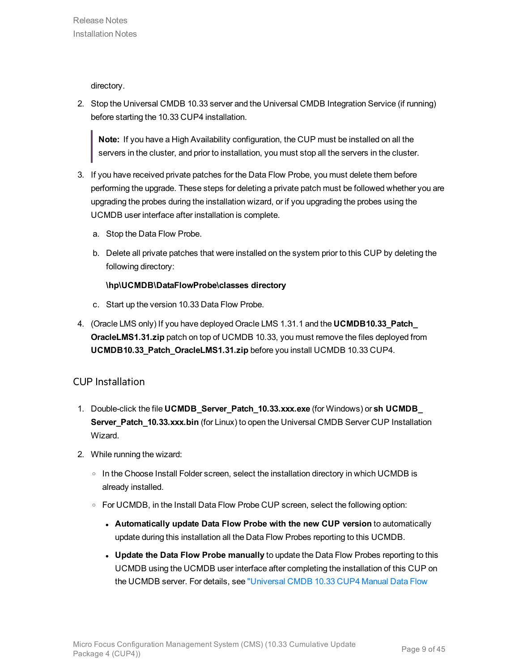directory.

2. Stop the Universal CMDB 10.33 server and the Universal CMDB Integration Service (if running) before starting the 10.33 CUP4 installation.

**Note:** If you have a High Availability configuration, the CUP must be installed on all the servers in the cluster, and prior to installation, you must stop all the servers in the cluster.

- 3. If you have received private patches for the Data Flow Probe, you must delete them before performing the upgrade. These steps for deleting a private patch must be followed whether you are upgrading the probes during the installation wizard, or if you upgrading the probes using the UCMDB user interface after installation is complete.
	- a. Stop the Data Flow Probe.
	- b. Delete all private patches that were installed on the system prior to this CUP by deleting the following directory:

#### **\hp\UCMDB\DataFlowProbe\classes directory**

- c. Start up the version 10.33 Data Flow Probe.
- 4. (Oracle LMS only) If you have deployed Oracle LMS 1.31.1 and the **UCMDB10.33\_Patch\_ OracleLMS1.31.zip** patch on top of UCMDB 10.33, you must remove the files deployed from **UCMDB10.33\_Patch\_OracleLMS1.31.zip** before you install UCMDB 10.33 CUP4.

### CUP Installation

- 1. Double-click the file **UCMDB\_Server\_Patch\_10.33.xxx.exe** (for Windows) or **sh UCMDB\_ Server\_Patch\_10.33.xxx.bin** (for Linux) to open the Universal CMDB Server CUP Installation Wizard.
- 2. While running the wizard:
	- $\circ$  In the Choose Install Folder screen, select the installation directory in which UCMDB is already installed.
	- $\circ$  For UCMDB, in the Install Data Flow Probe CUP screen, select the following option:
		- <sup>l</sup> **Automatically update Data Flow Probe with the new CUP version** to automatically update during this installation all the Data Flow Probes reporting to this UCMDB.
		- <sup>l</sup> **Update the Data Flow Probe manually** to update the Data Flow Probes reporting to this UCMDB using the UCMDB user interface after completing the installation of this CUP on the UCMDB server. For details, see ["Universal](#page-9-0) CMDB 10.33 CUP4 Manual Data Flow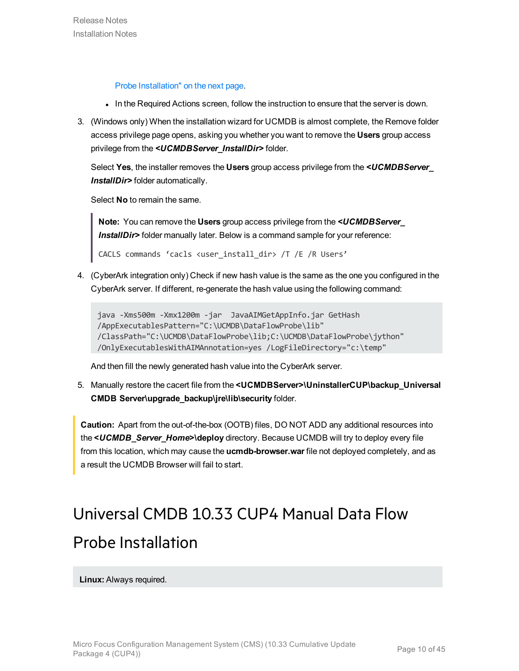Probe [Installation"](#page-9-0) on the next page.

- In the Required Actions screen, follow the instruction to ensure that the server is down.
- 3. (Windows only) When the installation wizard for UCMDB is almost complete, the Remove folder access privilege page opens, asking you whether you want to remove the **Users** group access privilege from the *<UCMDBServer\_InstallDir>* folder.

Select **Yes**, the installer removes the **Users** group access privilege from the *<UCMDBServer\_ InstallDir>* folder automatically.

Select **No** to remain the same.

**Note:** You can remove the **Users** group access privilege from the *<UCMDBServer\_* **InstallDir>** folder manually later. Below is a command sample for your reference:

CACLS commands 'cacls <user\_install\_dir> /T /E /R Users'

4. (CyberArk integration only) Check if new hash value is the same as the one you configured in the CyberArk server. If different, re-generate the hash value using the following command:

```
java -Xms500m -Xmx1200m -jar  JavaAIMGetAppInfo.jar GetHash
/AppExecutablesPattern="C:\UCMDB\DataFlowProbe\lib"
/ClassPath="C:\UCMDB\DataFlowProbe\lib;C:\UCMDB\DataFlowProbe\jython" 
/OnlyExecutablesWithAIMAnnotation=yes /LogFileDirectory="c:\temp"
```
And then fill the newly generated hash value into the CyberArk server.

5. Manually restore the cacert file from the **<UCMDBServer>\UninstallerCUP\backup\_Universal CMDB Server\upgrade\_backup\jre\lib\security** folder.

<span id="page-9-0"></span>**Caution:** Apart from the out-of-the-box (OOTB) files, DO NOT ADD any additional resources into the **<***UCMDB\_Server\_Home***>\deploy** directory. Because UCMDB will try to deploy every file from this location, which may cause the **ucmdb-browser.war** file not deployed completely, and as a result the UCMDB Browser will fail to start.

# Universal CMDB 10.33 CUP4 Manual Data Flow Probe Installation

**Linux:** Always required.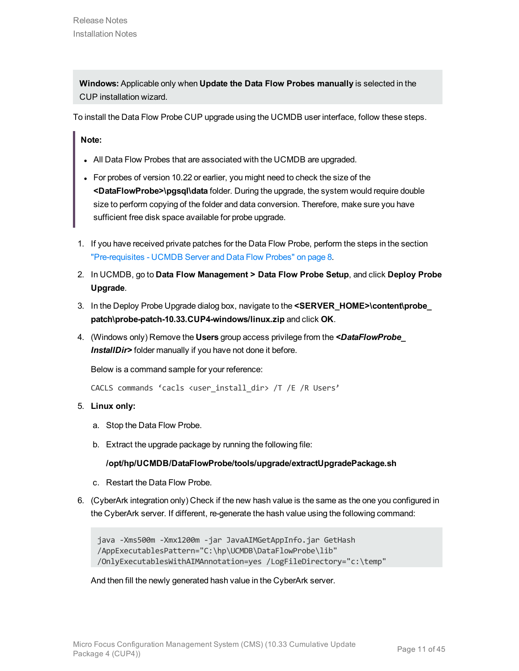**Windows:** Applicable only when **Update the Data Flow Probes manually** is selected in the CUP installation wizard.

To install the Data Flow Probe CUP upgrade using the UCMDB user interface, follow these steps.

**Note:**

- All Data Flow Probes that are associated with the UCMDB are upgraded.
- For probes of version 10.22 or earlier, you might need to check the size of the **<DataFlowProbe>\pgsql\data** folder. During the upgrade, the system would require double size to perform copying of the folder and data conversion. Therefore, make sure you have sufficient free disk space available for probe upgrade.
- 1. If you have received private patches for the Data Flow Probe, perform the steps in the section ["Pre-requisites](#page-7-2) - UCMDB Server and Data Flow Probes" on page 8.
- 2. In UCMDB, go to **Data Flow Management > Data Flow Probe Setup**, and click **Deploy Probe Upgrade**.
- 3. In the Deploy Probe Upgrade dialog box, navigate to the **<SERVER\_HOME>\content\probe\_ patch\probe-patch-10.33.CUP4-windows/linux.zip** and click **OK**.
- 4. (Windows only) Remove the **Users** group access privilege from the *<DataFlowProbe\_* **InstallDir>** folder manually if you have not done it before.

Below is a command sample for your reference:

CACLS commands 'cacls <user install dir> /T /E /R Users'

- 5. **Linux only:**
	- a. Stop the Data Flow Probe.
	- b. Extract the upgrade package by running the following file:

#### **/opt/hp/UCMDB/DataFlowProbe/tools/upgrade/extractUpgradePackage.sh**

- c. Restart the Data Flow Probe.
- 6. (CyberArk integration only) Check if the new hash value is the same as the one you configured in the CyberArk server. If different, re-generate the hash value using the following command:

```
java -Xms500m -Xmx1200m -jar JavaAIMGetAppInfo.jar GetHash
/AppExecutablesPattern="C:\hp\UCMDB\DataFlowProbe\lib"
/OnlyExecutablesWithAIMAnnotation=yes /LogFileDirectory="c:\temp"
```
And then fill the newly generated hash value in the CyberArk server.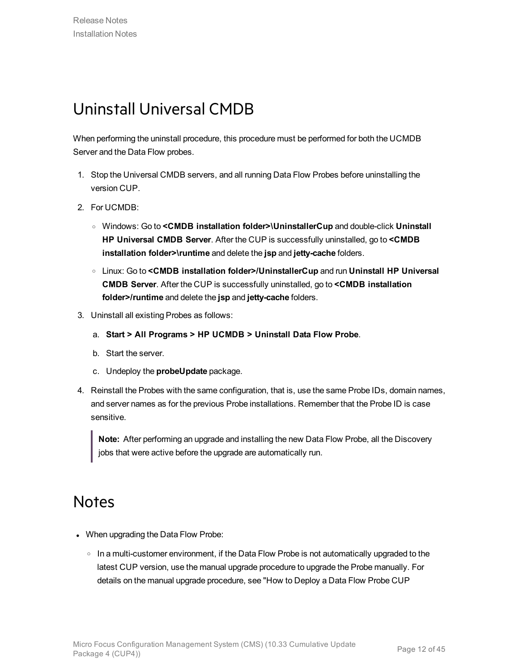## <span id="page-11-0"></span>Uninstall Universal CMDB

When performing the uninstall procedure, this procedure must be performed for both the UCMDB Server and the Data Flow probes.

- 1. Stop the Universal CMDB servers, and all running Data Flow Probes before uninstalling the version CUP.
- 2. For UCMDB:
	- <sup>o</sup> Windows: Go to **<CMDB installation folder>\UninstallerCup** and double-click **Uninstall HP Universal CMDB Server**. After the CUP is successfully uninstalled, go to **<CMDB installation folder>\runtime** and delete the **jsp** and **jetty-cache** folders.
	- <sup>o</sup> Linux: Go to **<CMDB installation folder>/UninstallerCup** and run **Uninstall HP Universal CMDB Server**. After the CUP is successfully uninstalled, go to **<CMDB installation folder>/runtime** and delete the **jsp** and **jetty-cache** folders.
- 3. Uninstall all existing Probes as follows:
	- a. **Start > All Programs > HP UCMDB > Uninstall Data Flow Probe**.
	- b. Start the server.
	- c. Undeploy the **probeUpdate** package.
- 4. Reinstall the Probes with the same configuration, that is, use the same Probe IDs, domain names, and server names as for the previous Probe installations. Remember that the Probe ID is case sensitive.

**Note:** After performing an upgrade and installing the new Data Flow Probe, all the Discovery jobs that were active before the upgrade are automatically run.

### <span id="page-11-1"></span>**Notes**

- When upgrading the Data Flow Probe:
	- $\circ$  In a multi-customer environment, if the Data Flow Probe is not automatically upgraded to the latest CUP version, use the manual upgrade procedure to upgrade the Probe manually. For details on the manual upgrade procedure, see "How to Deploy a Data Flow Probe CUP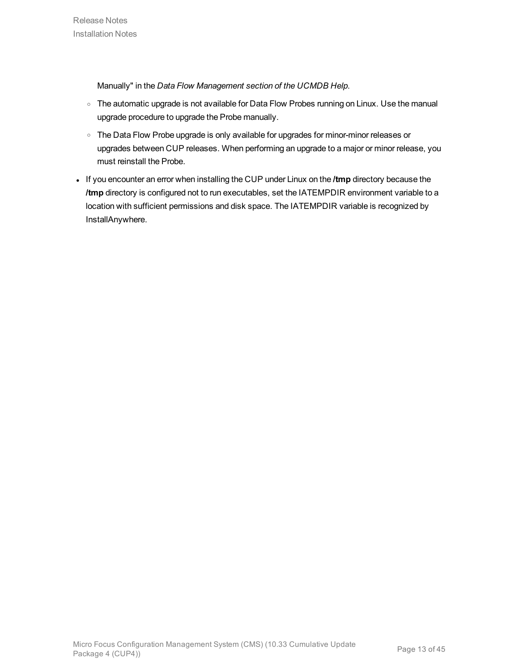Manually" in the *Data Flow Management section of the UCMDB Help*.

- o The automatic upgrade is not available for Data Flow Probes running on Linux. Use the manual upgrade procedure to upgrade the Probe manually.
- o The Data Flow Probe upgrade is only available for upgrades for minor-minor releases or upgrades between CUP releases. When performing an upgrade to a major or minor release, you must reinstall the Probe.
- <sup>l</sup> If you encounter an error when installing the CUP under Linux on the **/tmp** directory because the **/tmp** directory is configured not to run executables, set the IATEMPDIR environment variable to a location with sufficient permissions and disk space. The IATEMPDIR variable is recognized by InstallAnywhere.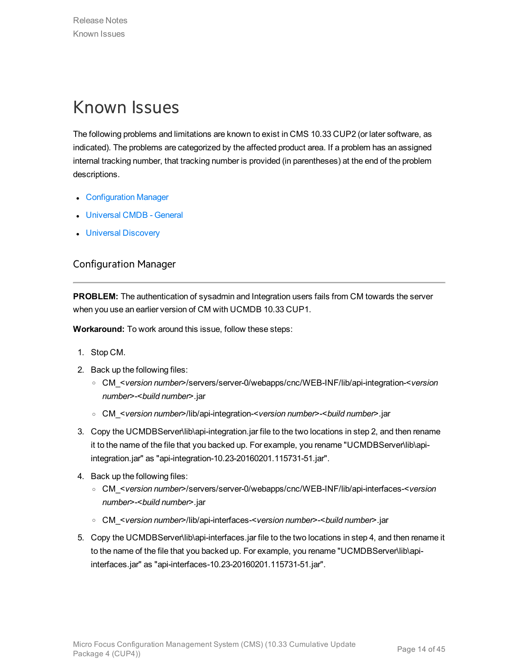## <span id="page-13-0"></span>Known Issues

The following problems and limitations are known to exist in CMS 10.33 CUP2 (or later software, as indicated). The problems are categorized by the affected product area. If a problem has an assigned internal tracking number, that tracking number is provided (in parentheses) at the end of the problem descriptions.

- **[Configuration](#page-13-1) Manager**
- [Universal](#page-14-0) CMDB General
- <span id="page-13-1"></span>**.** Universal [Discovery](#page-16-0)

### Configuration Manager

**PROBLEM:** The authentication of sysadmin and Integration users fails from CM towards the server when you use an earlier version of CM with UCMDB 10.33 CUP1.

**Workaround:** To work around this issue, follow these steps:

- 1. Stop CM.
- 2. Back up the following files:
	- <sup>o</sup> CM\_<*version number*>/servers/server-0/webapps/cnc/WEB-INF/lib/api-integration-<*version number*>-<*build number*>.jar
	- <sup>o</sup> CM\_<*version number*>/lib/api-integration-<*version number*>-<*build number*>.jar
- 3. Copy the UCMDBServer\lib\api-integration.jar file to the two locations in step 2, and then rename it to the name of the file that you backed up. For example, you rename "UCMDBServer\lib\apiintegration.jar" as "api-integration-10.23-20160201.115731-51.jar".
- 4. Back up the following files:
	- <sup>o</sup> CM\_<*version number*>/servers/server-0/webapps/cnc/WEB-INF/lib/api-interfaces-<*version number*>-<*build number*>.jar
	- <sup>o</sup> CM\_<*version number*>/lib/api-interfaces-<*version number*>-<*build number*>.jar
- 5. Copy the UCMDBServer\lib\api-interfaces.jar file to the two locations in step 4, and then rename it to the name of the file that you backed up. For example, you rename "UCMDBServer\lib\apiinterfaces.jar" as "api-interfaces-10.23-20160201.115731-51.jar".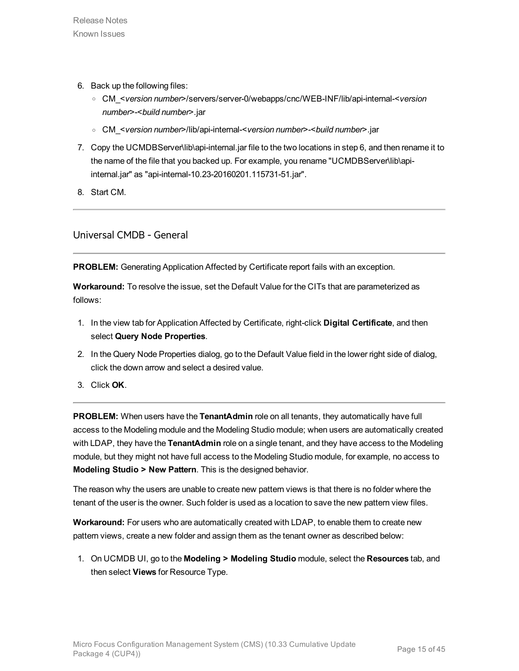- 6. Back up the following files:
	- <sup>o</sup> CM\_<*version number*>/servers/server-0/webapps/cnc/WEB-INF/lib/api-internal-<*version number*>-<*build number*>.jar
	- <sup>o</sup> CM\_<*version number*>/lib/api-internal-<*version number*>-<*build number*>.jar
- 7. Copy the UCMDBServer\lib\api-internal.jar file to the two locations in step 6, and then rename it to the name of the file that you backed up. For example, you rename "UCMDBServer\lib\apiinternal.jar" as "api-internal-10.23-20160201.115731-51.jar".
- 8. Start CM.

<span id="page-14-0"></span>Universal CMDB - General

**PROBLEM:** Generating Application Affected by Certificate report fails with an exception.

**Workaround:** To resolve the issue, set the Default Value for the CITs that are parameterized as follows:

- 1. In the view tab for Application Affected by Certificate, right-click **Digital Certificate**, and then select **Query Node Properties**.
- 2. In the Query Node Properties dialog, go to the Default Value field in the lower right side of dialog, click the down arrow and select a desired value.
- 3. Click **OK**.

**PROBLEM:** When users have the **TenantAdmin** role on all tenants, they automatically have full access to the Modeling module and the Modeling Studio module; when users are automatically created with LDAP, they have the **TenantAdmin** role on a single tenant, and they have access to the Modeling module, but they might not have full access to the Modeling Studio module, for example, no access to **Modeling Studio > New Pattern**. This is the designed behavior.

The reason why the users are unable to create new pattern views is that there is no folder where the tenant of the user is the owner. Such folder is used as a location to save the new pattern view files.

**Workaround:** For users who are automatically created with LDAP, to enable them to create new pattern views, create a new folder and assign them as the tenant owner as described below:

1. On UCMDB UI, go to the **Modeling > Modeling Studio** module, select the **Resources** tab, and then select **Views** for Resource Type.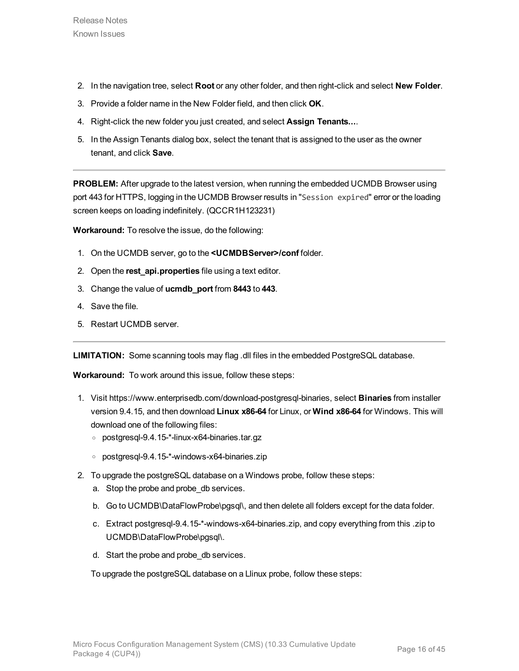- 2. In the navigation tree, select **Root** or any other folder, and then right-click and select **New Folder**.
- 3. Provide a folder name in the New Folder field, and then click **OK**.
- 4. Right-click the new folder you just created, and select **Assign Tenants...**.
- 5. In the Assign Tenants dialog box, select the tenant that is assigned to the user as the owner tenant, and click **Save**.

**PROBLEM:** After upgrade to the latest version, when running the embedded UCMDB Browser using port 443 for HTTPS, logging in the UCMDB Browser results in "Session expired" error or the loading screen keeps on loading indefinitely. (QCCR1H123231)

**Workaround:** To resolve the issue, do the following:

- 1. On the UCMDB server, go to the **<UCMDBServer>/conf** folder.
- 2. Open the **rest\_api.properties** file using a text editor.
- 3. Change the value of **ucmdb\_port** from **8443** to **443**.
- 4. Save the file.
- 5. Restart UCMDB server.

**LIMITATION:** Some scanning tools may flag .dll files in the embedded PostgreSQL database.

**Workaround:** To work around this issue, follow these steps:

- 1. Visit https://www.enterprisedb.com/download-postgresql-binaries, select **Binaries** from installer version 9.4.15, and then download **Linux x86-64** for Linux, or **Wind x86-64** for Windows. This will download one of the following files:
	- <sup>o</sup> postgresql-9.4.15-\*-linux-x64-binaries.tar.gz
	- <sup>o</sup> postgresql-9.4.15-\*-windows-x64-binaries.zip
- 2. To upgrade the postgreSQL database on a Windows probe, follow these steps:
	- a. Stop the probe and probe\_db services.
	- b. Go to UCMDB\DataFlowProbe\pgsql\, and then delete all folders except for the data folder.
	- c. Extract postgresql-9.4.15-\*-windows-x64-binaries.zip, and copy everything from this .zip to UCMDB\DataFlowProbe\pgsql\.
	- d. Start the probe and probe\_db services.

To upgrade the postgreSQL database on a Llinux probe, follow these steps: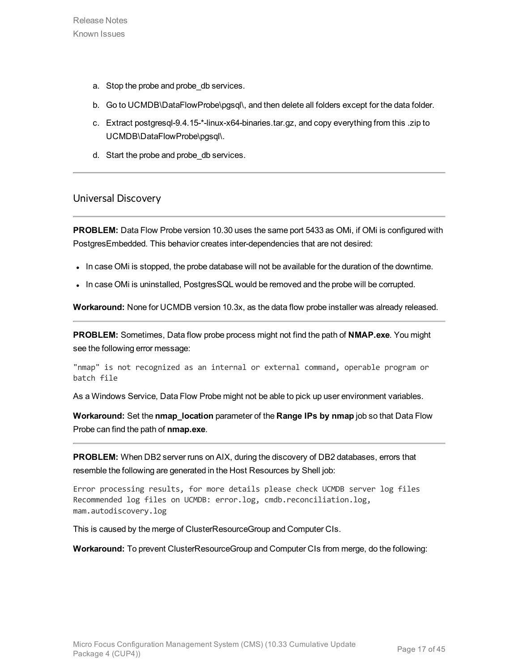- a. Stop the probe and probe\_db services.
- b. Go to UCMDB\DataFlowProbe\pgsql\, and then delete all folders except for the data folder.
- c. Extract postgresql-9.4.15-\*-linux-x64-binaries.tar.gz, and copy everything from this .zip to UCMDB\DataFlowProbe\pgsql\.
- d. Start the probe and probe\_db services.

#### <span id="page-16-0"></span>Universal Discovery

**PROBLEM:** Data Flow Probe version 10.30 uses the same port 5433 as OMi, if OMi is configured with PostgresEmbedded. This behavior creates inter-dependencies that are not desired:

- In case OMi is stopped, the probe database will not be available for the duration of the downtime.
- In case OMi is uninstalled, PostgresSQL would be removed and the probe will be corrupted.

**Workaround:** None for UCMDB version 10.3x, as the data flow probe installer was already released.

**PROBLEM:** Sometimes, Data flow probe process might not find the path of **NMAP.exe**. You might see the following error message:

"nmap" is not recognized as an internal or external command, operable program or batch file

As a Windows Service, Data Flow Probe might not be able to pick up user environment variables.

**Workaround:** Set the **nmap\_location** parameter of the **Range IPs by nmap** job so that Data Flow Probe can find the path of **nmap.exe**.

**PROBLEM:** When DB2 server runs on AIX, during the discovery of DB2 databases, errors that resemble the following are generated in the Host Resources by Shell job:

Error processing results, for more details please check UCMDB server log files Recommended log files on UCMDB: error.log, cmdb.reconciliation.log, mam.autodiscovery.log

This is caused by the merge of ClusterResourceGroup and Computer CIs.

**Workaround:** To prevent ClusterResourceGroup and Computer CIs from merge, do the following: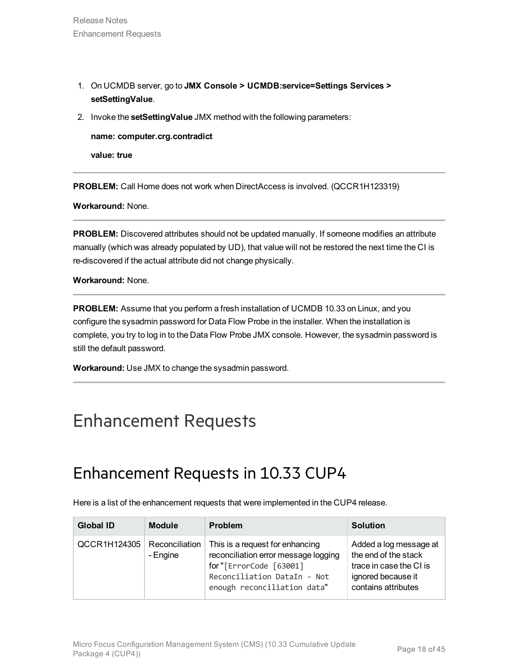- 1. On UCMDB server, go to **JMX Console > UCMDB:service=Settings Services > setSettingValue**.
- 2. Invoke the **setSettingValue** JMX method with the following parameters:

**name: computer.crg.contradict**

**value: true**

**PROBLEM:** Call Home does not work when DirectAccess is involved. (QCCR1H123319)

**Workaround:** None.

**PROBLEM:** Discovered attributes should not be updated manually. If someone modifies an attribute manually (which was already populated by UD), that value will not be restored the next time the CI is re-discovered if the actual attribute did not change physically.

**Workaround:** None.

**PROBLEM:** Assume that you perform a fresh installation of UCMDB 10.33 on Linux, and you configure the sysadmin password for Data Flow Probe in the installer. When the installation is complete, you try to log in to the Data Flow Probe JMX console. However, the sysadmin password is still the default password.

**Workaround:** Use JMX to change the sysadmin password.

## <span id="page-17-1"></span><span id="page-17-0"></span>Enhancement Requests

## Enhancement Requests in 10.33 CUP4

Here is a list of the enhancement requests that were implemented in the CUP4 release.

| <b>Global ID</b> | <b>Module</b>              | <b>Problem</b>                                                                                                                                                  | <b>Solution</b>                                                                                                        |
|------------------|----------------------------|-----------------------------------------------------------------------------------------------------------------------------------------------------------------|------------------------------------------------------------------------------------------------------------------------|
| QCCR1H124305     | Reconciliation<br>- Engine | This is a request for enhancing<br>reconciliation error message logging<br>for"[ErrorCode [63001]<br>Reconciliation DataIn - Not<br>enough reconciliation data" | Added a log message at<br>the end of the stack<br>trace in case the CI is<br>ignored because it<br>contains attributes |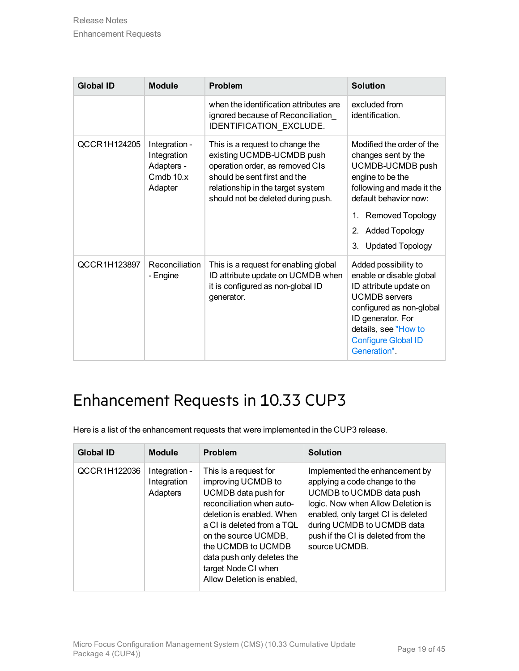| <b>Global ID</b> | <b>Module</b>                                                      | <b>Problem</b>                                                                                                                                                                                             | <b>Solution</b>                                                                                                                                                                                                                                 |
|------------------|--------------------------------------------------------------------|------------------------------------------------------------------------------------------------------------------------------------------------------------------------------------------------------------|-------------------------------------------------------------------------------------------------------------------------------------------------------------------------------------------------------------------------------------------------|
|                  |                                                                    | when the identification attributes are<br>ignored because of Reconciliation<br>IDENTIFICATION EXCLUDE.                                                                                                     | excluded from<br>identification.                                                                                                                                                                                                                |
| QCCR1H124205     | Integration -<br>Integration<br>Adapters -<br>Cmdb 10.x<br>Adapter | This is a request to change the<br>existing UCMDB-UCMDB push<br>operation order, as removed CIs<br>should be sent first and the<br>relationship in the target system<br>should not be deleted during push. | Modified the order of the<br>changes sent by the<br>UCMDB-UCMDB push<br>engine to be the<br>following and made it the<br>default behavior now:<br><b>Removed Topology</b><br>1.<br><b>Added Topology</b><br>2.<br><b>Updated Topology</b><br>3. |
| QCCR1H123897     | Reconciliation<br>- Engine                                         | This is a request for enabling global<br>ID attribute update on UCMDB when<br>it is configured as non-global ID<br>generator.                                                                              | Added possibility to<br>enable or disable global<br>ID attribute update on<br><b>UCMDB</b> servers<br>configured as non-global<br>ID generator. For<br>details, see "How to<br><b>Configure Global ID</b><br>Generation".                       |

## <span id="page-18-0"></span>Enhancement Requests in 10.33 CUP3

Here is a list of the enhancement requests that were implemented in the CUP3 release.

| <b>Global ID</b> | <b>Module</b>                            | Problem                                                                                                                                                                                                                                                                                     | <b>Solution</b>                                                                                                                                                                                                                                             |
|------------------|------------------------------------------|---------------------------------------------------------------------------------------------------------------------------------------------------------------------------------------------------------------------------------------------------------------------------------------------|-------------------------------------------------------------------------------------------------------------------------------------------------------------------------------------------------------------------------------------------------------------|
| QCCR1H122036     | Integration -<br>Integration<br>Adapters | This is a request for<br>improving UCMDB to<br>UCMDB data push for<br>reconciliation when auto-<br>deletion is enabled. When<br>a CI is deleted from a TOL<br>on the source UCMDB,<br>the UCMDB to UCMDB<br>data push only deletes the<br>target Node CI when<br>Allow Deletion is enabled. | Implemented the enhancement by<br>applying a code change to the<br>UCMDB to UCMDB data push<br>logic. Now when Allow Deletion is<br>enabled, only target CI is deleted<br>during UCMDB to UCMDB data<br>push if the CI is deleted from the<br>source UCMDB. |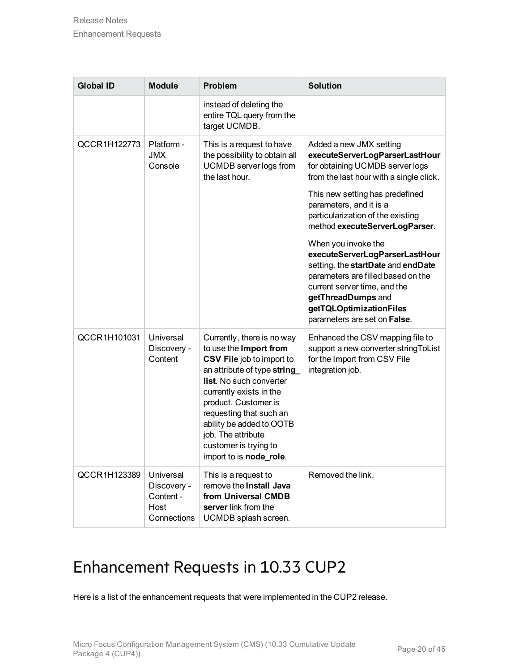| <b>Global ID</b> | <b>Module</b>                                                | <b>Problem</b>                                                                                                                                                                                                                                                                                                                         | <b>Solution</b>                                                                                                                                                                                                                                    |
|------------------|--------------------------------------------------------------|----------------------------------------------------------------------------------------------------------------------------------------------------------------------------------------------------------------------------------------------------------------------------------------------------------------------------------------|----------------------------------------------------------------------------------------------------------------------------------------------------------------------------------------------------------------------------------------------------|
|                  |                                                              | instead of deleting the<br>entire TQL query from the<br>target UCMDB.                                                                                                                                                                                                                                                                  |                                                                                                                                                                                                                                                    |
| QCCR1H122773     | Platform -<br><b>JMX</b><br>Console                          | This is a request to have<br>the possibility to obtain all<br><b>UCMDB</b> server logs from<br>the last hour.                                                                                                                                                                                                                          | Added a new JMX setting<br>executeServerLogParserLastHour<br>for obtaining UCMDB server logs<br>from the last hour with a single click.                                                                                                            |
|                  |                                                              |                                                                                                                                                                                                                                                                                                                                        | This new setting has predefined<br>parameters, and it is a<br>particularization of the existing<br>method executeServerLogParser.                                                                                                                  |
|                  |                                                              |                                                                                                                                                                                                                                                                                                                                        | When you invoke the<br>executeServerLogParserLastHour<br>setting, the startDate and endDate<br>parameters are filled based on the<br>current server time, and the<br>getThreadDumps and<br>getTQLOptimizationFiles<br>parameters are set on False. |
| QCCR1H101031     | Universal<br>Discovery -<br>Content                          | Currently, there is no way<br>to use the Import from<br>CSV File job to import to<br>an attribute of type string<br><b>list.</b> No such converter<br>currently exists in the<br>product. Customer is<br>requesting that such an<br>ability be added to OOTB<br>job. The attribute<br>customer is trying to<br>import to is node_role. | Enhanced the CSV mapping file to<br>support a new converter string ToList<br>for the Import from CSV File<br>integration job.                                                                                                                      |
| QCCR1H123389     | Universal<br>Discovery -<br>Content -<br>Host<br>Connections | This is a request to<br>remove the Install Java<br>from Universal CMDB<br>server link from the<br>UCMDB splash screen.                                                                                                                                                                                                                 | Removed the link.                                                                                                                                                                                                                                  |

## <span id="page-19-0"></span>Enhancement Requests in 10.33 CUP2

Here is a list of the enhancement requests that were implemented in the CUP2 release.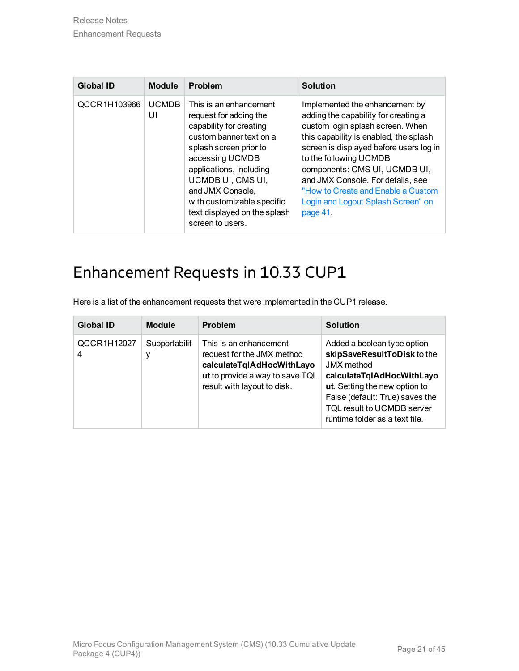| <b>Global ID</b> | <b>Module</b>      | Problem                                                                                                                                                                                                                                                                                                   | <b>Solution</b>                                                                                                                                                                                                                                                                                                                                                                         |
|------------------|--------------------|-----------------------------------------------------------------------------------------------------------------------------------------------------------------------------------------------------------------------------------------------------------------------------------------------------------|-----------------------------------------------------------------------------------------------------------------------------------------------------------------------------------------------------------------------------------------------------------------------------------------------------------------------------------------------------------------------------------------|
| QCCR1H103966     | <b>UCMDB</b><br>UI | This is an enhancement<br>request for adding the<br>capability for creating<br>custom banner text on a<br>splash screen prior to<br>accessing UCMDB<br>applications, including<br>UCMDB UI, CMS UI,<br>and JMX Console,<br>with customizable specific<br>text displayed on the splash<br>screen to users. | Implemented the enhancement by<br>adding the capability for creating a<br>custom login splash screen. When<br>this capability is enabled, the splash<br>screen is displayed before users log in<br>to the following UCMDB<br>components: CMS UI, UCMDB UI,<br>and JMX Console. For details, see<br>"How to Create and Enable a Custom<br>Login and Logout Splash Screen" on<br>page 41. |

### <span id="page-20-0"></span>Enhancement Requests in 10.33 CUP1

Here is a list of the enhancement requests that were implemented in the CUP1 release.

| <b>Global ID</b> | <b>Module</b> | <b>Problem</b>                                                                                                                                      | <b>Solution</b>                                                                                                                                                                                                                                  |
|------------------|---------------|-----------------------------------------------------------------------------------------------------------------------------------------------------|--------------------------------------------------------------------------------------------------------------------------------------------------------------------------------------------------------------------------------------------------|
| QCCR1H12027<br>4 | Supportabilit | This is an enhancement<br>request for the JMX method<br>calculateTqlAdHocWithLayo<br>ut to provide a way to save TQL<br>result with layout to disk. | Added a boolean type option<br>skipSaveResultToDisk to the<br><b>JMX</b> method<br>calculateTqlAdHocWithLayo<br>ut. Setting the new option to<br>False (default: True) saves the<br>TQL result to UCMDB server<br>runtime folder as a text file. |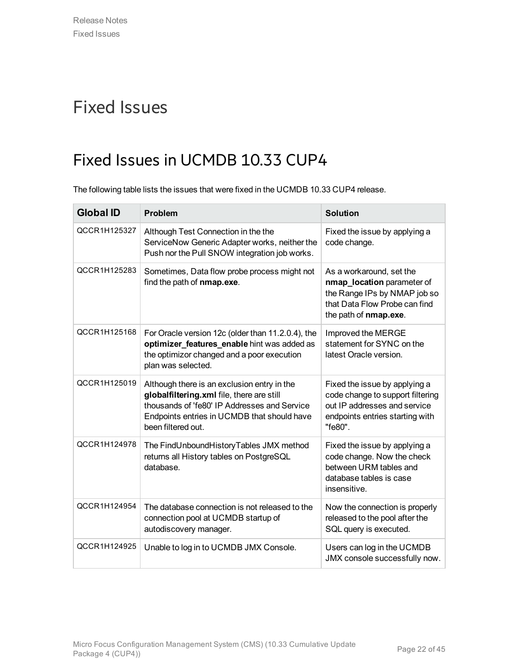## <span id="page-21-1"></span><span id="page-21-0"></span>Fixed Issues

## Fixed Issues in UCMDB 10.33 CUP4

The following table lists the issues that were fixed in the UCMDB 10.33 CUP4 release.

| <b>Global ID</b> | <b>Problem</b>                                                                                                                                                                                                | <b>Solution</b>                                                                                                                                  |
|------------------|---------------------------------------------------------------------------------------------------------------------------------------------------------------------------------------------------------------|--------------------------------------------------------------------------------------------------------------------------------------------------|
| QCCR1H125327     | Although Test Connection in the the<br>ServiceNow Generic Adapter works, neither the<br>Push nor the Pull SNOW integration job works.                                                                         | Fixed the issue by applying a<br>code change.                                                                                                    |
| QCCR1H125283     | Sometimes, Data flow probe process might not<br>find the path of nmap.exe.                                                                                                                                    | As a workaround, set the<br>nmap_location parameter of<br>the Range IPs by NMAP job so<br>that Data Flow Probe can find<br>the path of nmap.exe. |
| QCCR1H125168     | For Oracle version 12c (older than 11.2.0.4), the<br>optimizer_features_enable hint was added as<br>the optimizor changed and a poor execution<br>plan was selected.                                          | Improved the MERGE<br>statement for SYNC on the<br>latest Oracle version.                                                                        |
| QCCR1H125019     | Although there is an exclusion entry in the<br>globalfiltering.xml file, there are still<br>thousands of 'fe80' IP Addresses and Service<br>Endpoints entries in UCMDB that should have<br>been filtered out. | Fixed the issue by applying a<br>code change to support filtering<br>out IP addresses and service<br>endpoints entries starting with<br>"fe80".  |
| QCCR1H124978     | The FindUnboundHistoryTables JMX method<br>returns all History tables on PostgreSQL<br>database.                                                                                                              | Fixed the issue by applying a<br>code change. Now the check<br>between URM tables and<br>database tables is case<br>insensitive.                 |
| QCCR1H124954     | The database connection is not released to the<br>connection pool at UCMDB startup of<br>autodiscovery manager.                                                                                               | Now the connection is properly<br>released to the pool after the<br>SQL query is executed.                                                       |
| QCCR1H124925     | Unable to log in to UCMDB JMX Console.                                                                                                                                                                        | Users can log in the UCMDB<br>JMX console successfully now.                                                                                      |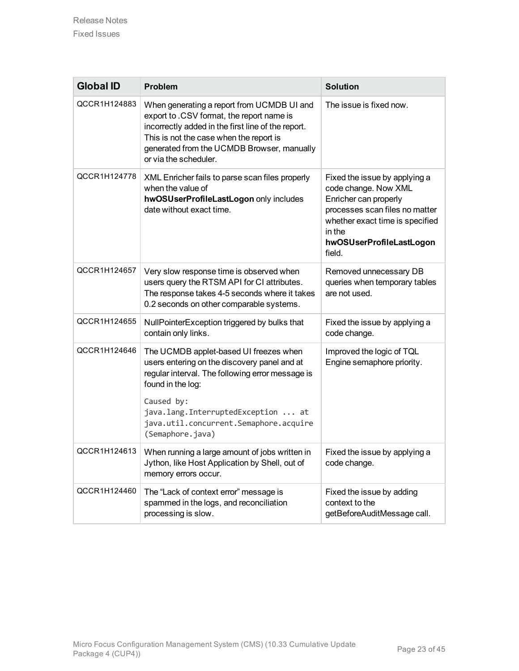| <b>Global ID</b> | Problem                                                                                                                                                                                                                                                                           | <b>Solution</b>                                                                                                                                                                                     |
|------------------|-----------------------------------------------------------------------------------------------------------------------------------------------------------------------------------------------------------------------------------------------------------------------------------|-----------------------------------------------------------------------------------------------------------------------------------------------------------------------------------------------------|
| QCCR1H124883     | When generating a report from UCMDB UI and<br>export to .CSV format, the report name is<br>incorrectly added in the first line of the report.<br>This is not the case when the report is<br>generated from the UCMDB Browser, manually<br>or via the scheduler.                   | The issue is fixed now.                                                                                                                                                                             |
| QCCR1H124778     | XML Enricher fails to parse scan files properly<br>when the value of<br>hwOSUserProfileLastLogon only includes<br>date without exact time.                                                                                                                                        | Fixed the issue by applying a<br>code change. Now XML<br>Enricher can properly<br>processes scan files no matter<br>whether exact time is specified<br>in the<br>hwOSUserProfileLastLogon<br>field. |
| QCCR1H124657     | Very slow response time is observed when<br>users query the RTSM API for CI attributes.<br>The response takes 4-5 seconds where it takes<br>0.2 seconds on other comparable systems.                                                                                              | Removed unnecessary DB<br>queries when temporary tables<br>are not used.                                                                                                                            |
| QCCR1H124655     | NullPointerException triggered by bulks that<br>contain only links.                                                                                                                                                                                                               | Fixed the issue by applying a<br>code change.                                                                                                                                                       |
| QCCR1H124646     | The UCMDB applet-based UI freezes when<br>users entering on the discovery panel and at<br>regular interval. The following error message is<br>found in the log:<br>Caused by:<br>java.lang.InterruptedException  at<br>java.util.concurrent.Semaphore.acquire<br>(Semaphore.java) | Improved the logic of TQL<br>Engine semaphore priority.                                                                                                                                             |
| QCCR1H124613     | When running a large amount of jobs written in<br>Jython, like Host Application by Shell, out of<br>memory errors occur.                                                                                                                                                          | Fixed the issue by applying a<br>code change.                                                                                                                                                       |
| QCCR1H124460     | The "Lack of context error" message is<br>spammed in the logs, and reconciliation<br>processing is slow.                                                                                                                                                                          | Fixed the issue by adding<br>context to the<br>getBeforeAuditMessage call.                                                                                                                          |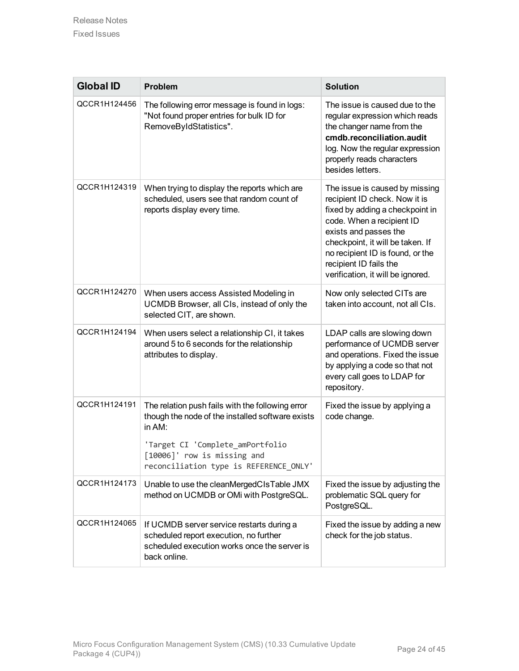| <b>Global ID</b> | Problem                                                                                                                                                                                                                     | <b>Solution</b>                                                                                                                                                                                                                                                                                 |
|------------------|-----------------------------------------------------------------------------------------------------------------------------------------------------------------------------------------------------------------------------|-------------------------------------------------------------------------------------------------------------------------------------------------------------------------------------------------------------------------------------------------------------------------------------------------|
| QCCR1H124456     | The following error message is found in logs:<br>"Not found proper entries for bulk ID for<br>RemoveByIdStatistics".                                                                                                        | The issue is caused due to the<br>regular expression which reads<br>the changer name from the<br>cmdb.reconciliation.audit<br>log. Now the regular expression<br>properly reads characters<br>besides letters.                                                                                  |
| QCCR1H124319     | When trying to display the reports which are<br>scheduled, users see that random count of<br>reports display every time.                                                                                                    | The issue is caused by missing<br>recipient ID check. Now it is<br>fixed by adding a checkpoint in<br>code. When a recipient ID<br>exists and passes the<br>checkpoint, it will be taken. If<br>no recipient ID is found, or the<br>recipient ID fails the<br>verification, it will be ignored. |
| QCCR1H124270     | When users access Assisted Modeling in<br>UCMDB Browser, all CIs, instead of only the<br>selected CIT, are shown.                                                                                                           | Now only selected CITs are<br>taken into account, not all CIs.                                                                                                                                                                                                                                  |
| QCCR1H124194     | When users select a relationship CI, it takes<br>around 5 to 6 seconds for the relationship<br>attributes to display.                                                                                                       | LDAP calls are slowing down<br>performance of UCMDB server<br>and operations. Fixed the issue<br>by applying a code so that not<br>every call goes to LDAP for<br>repository.                                                                                                                   |
| QCCR1H124191     | The relation push fails with the following error<br>though the node of the installed software exists<br>in AM:<br>'Target CI 'Complete_amPortfolio<br>[10006]' row is missing and<br>reconciliation type is REFERENCE ONLY' | Fixed the issue by applying a<br>code change.                                                                                                                                                                                                                                                   |
| QCCR1H124173     | Unable to use the cleanMergedCIsTable JMX<br>method on UCMDB or OMi with PostgreSQL.                                                                                                                                        | Fixed the issue by adjusting the<br>problematic SQL query for<br>PostgreSQL.                                                                                                                                                                                                                    |
| QCCR1H124065     | If UCMDB server service restarts during a<br>scheduled report execution, no further<br>scheduled execution works once the server is<br>back online.                                                                         | Fixed the issue by adding a new<br>check for the job status.                                                                                                                                                                                                                                    |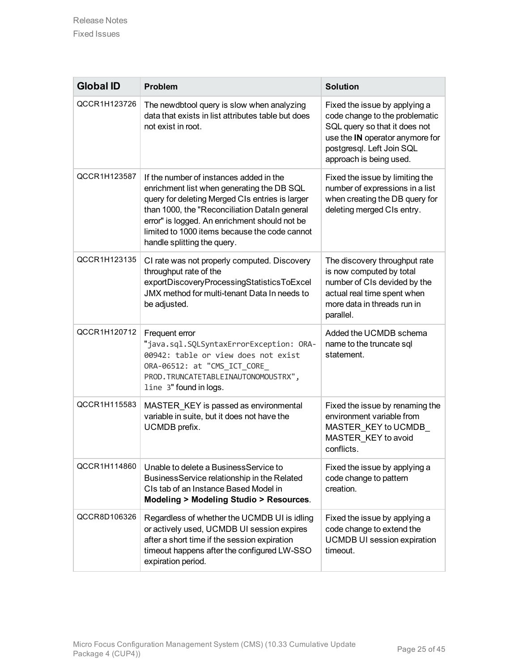| <b>Global ID</b> | <b>Problem</b>                                                                                                                                                                                                                                                                                                             | <b>Solution</b>                                                                                                                                                                             |
|------------------|----------------------------------------------------------------------------------------------------------------------------------------------------------------------------------------------------------------------------------------------------------------------------------------------------------------------------|---------------------------------------------------------------------------------------------------------------------------------------------------------------------------------------------|
| QCCR1H123726     | The newdbtool query is slow when analyzing<br>data that exists in list attributes table but does<br>not exist in root.                                                                                                                                                                                                     | Fixed the issue by applying a<br>code change to the problematic<br>SQL query so that it does not<br>use the IN operator anymore for<br>postgresql. Left Join SQL<br>approach is being used. |
| QCCR1H123587     | If the number of instances added in the<br>enrichment list when generating the DB SQL<br>query for deleting Merged CIs entries is larger<br>than 1000, the "Reconciliation DataIn general<br>error" is logged. An enrichment should not be<br>limited to 1000 items because the code cannot<br>handle splitting the query. | Fixed the issue by limiting the<br>number of expressions in a list<br>when creating the DB query for<br>deleting merged CIs entry.                                                          |
| QCCR1H123135     | CI rate was not properly computed. Discovery<br>throughput rate of the<br>exportDiscoveryProcessingStatisticsToExcel<br>JMX method for multi-tenant Data In needs to<br>be adjusted.                                                                                                                                       | The discovery throughput rate<br>is now computed by total<br>number of CIs devided by the<br>actual real time spent when<br>more data in threads run in<br>parallel.                        |
| QCCR1H120712     | Frequent error<br>"java.sql.SQLSyntaxErrorException: ORA-<br>00942: table or view does not exist<br>ORA-06512: at "CMS_ICT_CORE_<br>PROD. TRUNCATETABLEINAUTONOMOUSTRX",<br>line 3" found in logs.                                                                                                                         | Added the UCMDB schema<br>name to the truncate sql<br>statement.                                                                                                                            |
| QCCR1H115583     | MASTER_KEY is passed as environmental<br>variable in suite, but it does not have the<br>UCMDB prefix.                                                                                                                                                                                                                      | Fixed the issue by renaming the<br>environment variable from<br>MASTER KEY to UCMDB<br>MASTER KEY to avoid<br>conflicts.                                                                    |
| QCCR1H114860     | Unable to delete a Business Service to<br>BusinessService relationship in the Related<br>CIs tab of an Instance Based Model in<br>Modeling > Modeling Studio > Resources.                                                                                                                                                  | Fixed the issue by applying a<br>code change to pattern<br>creation.                                                                                                                        |
| QCCR8D106326     | Regardless of whether the UCMDB UI is idling<br>or actively used, UCMDB UI session expires<br>after a short time if the session expiration<br>timeout happens after the configured LW-SSO<br>expiration period.                                                                                                            | Fixed the issue by applying a<br>code change to extend the<br><b>UCMDB UI session expiration</b><br>timeout.                                                                                |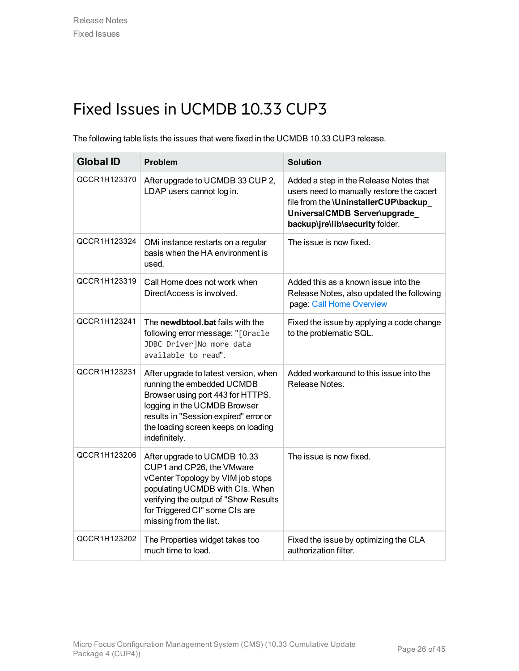## <span id="page-25-0"></span>Fixed Issues in UCMDB 10.33 CUP3

The following table lists the issues that were fixed in the UCMDB 10.33 CUP3 release.

| <b>Global ID</b> | Problem                                                                                                                                                                                                                                   | <b>Solution</b>                                                                                                                                                                                 |
|------------------|-------------------------------------------------------------------------------------------------------------------------------------------------------------------------------------------------------------------------------------------|-------------------------------------------------------------------------------------------------------------------------------------------------------------------------------------------------|
| QCCR1H123370     | After upgrade to UCMDB 33 CUP 2,<br>LDAP users cannot log in.                                                                                                                                                                             | Added a step in the Release Notes that<br>users need to manually restore the cacert<br>file from the \UninstallerCUP\backup_<br>UniversalCMDB Server\upgrade<br>backup\jre\lib\security folder. |
| QCCR1H123324     | OMi instance restarts on a regular<br>basis when the HA environment is<br>used.                                                                                                                                                           | The issue is now fixed.                                                                                                                                                                         |
| QCCR1H123319     | Call Home does not work when<br>DirectAccess is involved.                                                                                                                                                                                 | Added this as a known issue into the<br>Release Notes, also updated the following<br>page: Call Home Overview                                                                                   |
| QCCR1H123241     | The newdbtool.bat fails with the<br>following error message: "[Oracle<br>JDBC Driver]No more data<br>available to read".                                                                                                                  | Fixed the issue by applying a code change<br>to the problematic SQL.                                                                                                                            |
| QCCR1H123231     | After upgrade to latest version, when<br>running the embedded UCMDB<br>Browser using port 443 for HTTPS,<br>logging in the UCMDB Browser<br>results in "Session expired" error or<br>the loading screen keeps on loading<br>indefinitely. | Added workaround to this issue into the<br>Release Notes.                                                                                                                                       |
| QCCR1H123206     | After upgrade to UCMDB 10.33<br>CUP1 and CP26, the VMware<br>vCenter Topology by VIM job stops<br>populating UCMDB with CIs. When<br>verifying the output of "Show Results<br>for Triggered CI" some CIs are<br>missing from the list.    | The issue is now fixed.                                                                                                                                                                         |
| QCCR1H123202     | The Properties widget takes too<br>much time to load.                                                                                                                                                                                     | Fixed the issue by optimizing the CLA<br>authorization filter.                                                                                                                                  |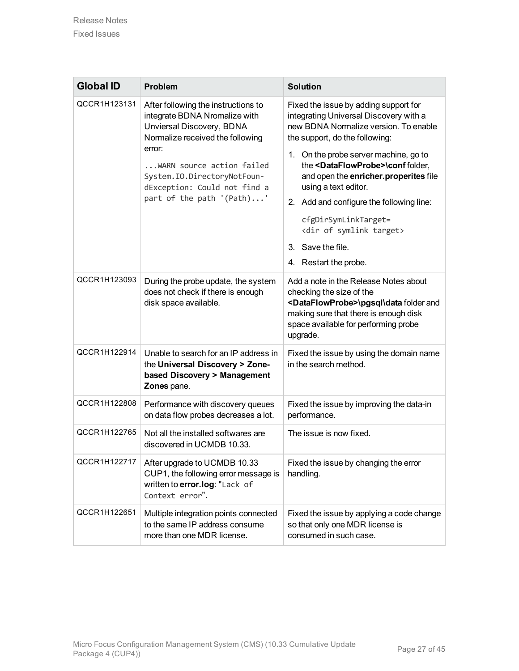| <b>Global ID</b> | Problem                                                                                                                                                                                                                                                                            | <b>Solution</b>                                                                                                                                                                                                                                                                                                                                                                                                                                                                             |
|------------------|------------------------------------------------------------------------------------------------------------------------------------------------------------------------------------------------------------------------------------------------------------------------------------|---------------------------------------------------------------------------------------------------------------------------------------------------------------------------------------------------------------------------------------------------------------------------------------------------------------------------------------------------------------------------------------------------------------------------------------------------------------------------------------------|
| QCCR1H123131     | After following the instructions to<br>integrate BDNA Nromalize with<br>Unviersal Discovery, BDNA<br>Normalize received the following<br>error:<br>$\ldots$ WARN source action failed<br>System. IO.DirectoryNotFoun-<br>dException: Could not find a<br>part of the path '(Path)' | Fixed the issue by adding support for<br>integrating Universal Discovery with a<br>new BDNA Normalize version. To enable<br>the support, do the following:<br>1. On the probe server machine, go to<br>the <dataflowprobe>\conf folder,<br/>and open the enricher.properites file<br/>using a text editor.<br/>2. Add and configure the following line:<br/>cfgDirSymLinkTarget=<br/><dir of="" symlink="" target=""><br/>3. Save the file.<br/>4. Restart the probe.</dir></dataflowprobe> |
| QCCR1H123093     | During the probe update, the system<br>does not check if there is enough<br>disk space available.                                                                                                                                                                                  | Add a note in the Release Notes about<br>checking the size of the<br><dataflowprobe>\pgsql\data folder and<br/>making sure that there is enough disk<br/>space available for performing probe<br/>upgrade.</dataflowprobe>                                                                                                                                                                                                                                                                  |
| QCCR1H122914     | Unable to search for an IP address in<br>the Universal Discovery > Zone-<br>based Discovery > Management<br>Zones pane.                                                                                                                                                            | Fixed the issue by using the domain name<br>in the search method.                                                                                                                                                                                                                                                                                                                                                                                                                           |
| QCCR1H122808     | Performance with discovery queues<br>on data flow probes decreases a lot.                                                                                                                                                                                                          | Fixed the issue by improving the data-in<br>performance.                                                                                                                                                                                                                                                                                                                                                                                                                                    |
| QCCR1H122765     | Not all the installed softwares are<br>discovered in UCMDB 10.33.                                                                                                                                                                                                                  | The issue is now fixed.                                                                                                                                                                                                                                                                                                                                                                                                                                                                     |
| QCCR1H122717     | After upgrade to UCMDB 10.33<br>CUP1, the following error message is<br>written to error.log: "Lack of<br>Context error".                                                                                                                                                          | Fixed the issue by changing the error<br>handling.                                                                                                                                                                                                                                                                                                                                                                                                                                          |
| QCCR1H122651     | Multiple integration points connected<br>to the same IP address consume<br>more than one MDR license.                                                                                                                                                                              | Fixed the issue by applying a code change<br>so that only one MDR license is<br>consumed in such case.                                                                                                                                                                                                                                                                                                                                                                                      |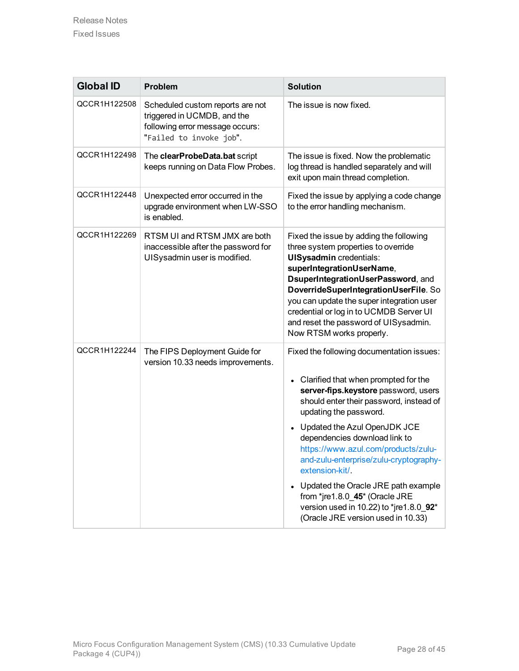| <b>Global ID</b> | <b>Problem</b>                                                                                                                | <b>Solution</b>                                                                                                                                                                                                                                                                                                                                                                                                                                                                                                                 |
|------------------|-------------------------------------------------------------------------------------------------------------------------------|---------------------------------------------------------------------------------------------------------------------------------------------------------------------------------------------------------------------------------------------------------------------------------------------------------------------------------------------------------------------------------------------------------------------------------------------------------------------------------------------------------------------------------|
| QCCR1H122508     | Scheduled custom reports are not<br>triggered in UCMDB, and the<br>following error message occurs:<br>"Failed to invoke job". | The issue is now fixed.                                                                                                                                                                                                                                                                                                                                                                                                                                                                                                         |
| QCCR1H122498     | The clearProbeData.bat script<br>keeps running on Data Flow Probes.                                                           | The issue is fixed. Now the problematic<br>log thread is handled separately and will<br>exit upon main thread completion.                                                                                                                                                                                                                                                                                                                                                                                                       |
| QCCR1H122448     | Unexpected error occurred in the<br>upgrade environment when LW-SSO<br>is enabled.                                            | Fixed the issue by applying a code change<br>to the error handling mechanism.                                                                                                                                                                                                                                                                                                                                                                                                                                                   |
| QCCR1H122269     | RTSM UI and RTSM JMX are both<br>inaccessible after the password for<br>UISysadmin user is modified.                          | Fixed the issue by adding the following<br>three system properties to override<br><b>UISysadmin</b> credentials:<br>superIntegrationUserName,<br>DsuperIntegrationUserPassword, and<br>DoverrideSuperIntegrationUserFile. So<br>you can update the super integration user<br>credential or log in to UCMDB Server UI<br>and reset the password of UISysadmin.<br>Now RTSM works properly.                                                                                                                                       |
| QCCR1H122244     | The FIPS Deployment Guide for<br>version 10.33 needs improvements.                                                            | Fixed the following documentation issues:<br>Clarified that when prompted for the<br>server-fips.keystore password, users<br>should enter their password, instead of<br>updating the password.<br>Updated the Azul OpenJDK JCE<br>dependencies download link to<br>https://www.azul.com/products/zulu-<br>and-zulu-enterprise/zulu-cryptography-<br>extension-kit/.<br>• Updated the Oracle JRE path example<br>from *jre1.8.0_45* (Oracle JRE<br>version used in 10.22) to *jre1.8.0_92*<br>(Oracle JRE version used in 10.33) |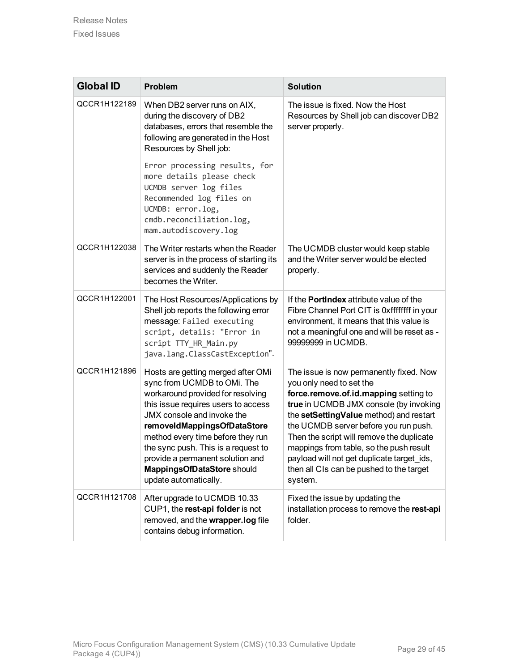| <b>Global ID</b> | Problem                                                                                                                                                                                                                                                                                                                                                                           | <b>Solution</b>                                                                                                                                                                                                                                                                                                                                                                                                                         |
|------------------|-----------------------------------------------------------------------------------------------------------------------------------------------------------------------------------------------------------------------------------------------------------------------------------------------------------------------------------------------------------------------------------|-----------------------------------------------------------------------------------------------------------------------------------------------------------------------------------------------------------------------------------------------------------------------------------------------------------------------------------------------------------------------------------------------------------------------------------------|
| QCCR1H122189     | When DB2 server runs on AIX,<br>during the discovery of DB2<br>databases, errors that resemble the<br>following are generated in the Host<br>Resources by Shell job:<br>Error processing results, for<br>more details please check<br>UCMDB server log files<br>Recommended log files on<br>UCMDB: error.log,<br>cmdb.reconciliation.log,<br>mam.autodiscovery.log                | The issue is fixed. Now the Host<br>Resources by Shell job can discover DB2<br>server properly.                                                                                                                                                                                                                                                                                                                                         |
| QCCR1H122038     | The Writer restarts when the Reader<br>server is in the process of starting its<br>services and suddenly the Reader<br>becomes the Writer.                                                                                                                                                                                                                                        | The UCMDB cluster would keep stable<br>and the Writer server would be elected<br>properly.                                                                                                                                                                                                                                                                                                                                              |
| QCCR1H122001     | The Host Resources/Applications by<br>Shell job reports the following error<br>message: Failed executing<br>script, details: "Error in<br>script TTY_HR_Main.py<br>java.lang.ClassCastException".                                                                                                                                                                                 | If the <b>PortIndex</b> attribute value of the<br>Fibre Channel Port CIT is 0xffffffff in your<br>environment, it means that this value is<br>not a meaningful one and will be reset as -<br>99999999 in UCMDB.                                                                                                                                                                                                                         |
| QCCR1H121896     | Hosts are getting merged after OMi<br>sync from UCMDB to OMi. The<br>workaround provided for resolving<br>this issue requires users to access<br>JMX console and invoke the<br>removeIdMappingsOfDataStore<br>method every time before they run<br>the sync push. This is a request to<br>provide a permanent solution and<br>MappingsOfDataStore should<br>update automatically. | The issue is now permanently fixed. Now<br>you only need to set the<br>force.remove.of.id.mapping setting to<br>true in UCMDB JMX console (by invoking<br>the setSettingValue method) and restart<br>the UCMDB server before you run push.<br>Then the script will remove the duplicate<br>mappings from table, so the push result<br>payload will not get duplicate target ids,<br>then all CIs can be pushed to the target<br>system. |
| QCCR1H121708     | After upgrade to UCMDB 10.33<br>CUP1, the rest-api folder is not<br>removed, and the wrapper.log file<br>contains debug information.                                                                                                                                                                                                                                              | Fixed the issue by updating the<br>installation process to remove the rest-api<br>folder.                                                                                                                                                                                                                                                                                                                                               |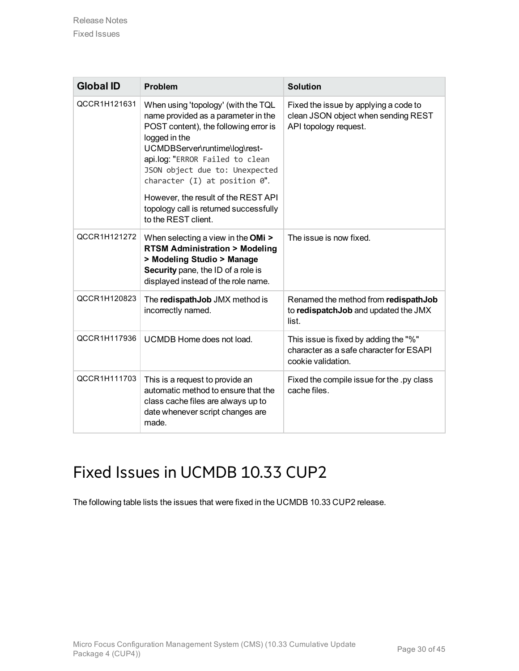| <b>Global ID</b> | Problem                                                                                                                                                                                                                                                                                                                                                                                  | <b>Solution</b>                                                                                        |
|------------------|------------------------------------------------------------------------------------------------------------------------------------------------------------------------------------------------------------------------------------------------------------------------------------------------------------------------------------------------------------------------------------------|--------------------------------------------------------------------------------------------------------|
| QCCR1H121631     | When using 'topology' (with the TQL<br>name provided as a parameter in the<br>POST content), the following error is<br>logged in the<br>UCMDBServer\runtime\log\rest-<br>api.log: "ERROR Failed to clean<br>JSON object due to: Unexpected<br>character $(I)$ at position $0$ ".<br>However, the result of the REST API<br>topology call is returned successfully<br>to the REST client. | Fixed the issue by applying a code to<br>clean JSON object when sending REST<br>API topology request.  |
| QCCR1H121272     | When selecting a view in the OMi ><br><b>RTSM Administration &gt; Modeling</b><br>> Modeling Studio > Manage<br>Security pane, the ID of a role is<br>displayed instead of the role name.                                                                                                                                                                                                | The issue is now fixed.                                                                                |
| QCCR1H120823     | The redispathJob JMX method is<br>incorrectly named.                                                                                                                                                                                                                                                                                                                                     | Renamed the method from redispathJob<br>to redispatch Job and updated the JMX<br>list.                 |
| QCCR1H117936     | UCMDB Home does not load.                                                                                                                                                                                                                                                                                                                                                                | This issue is fixed by adding the "%"<br>character as a safe character for ESAPI<br>cookie validation. |
| QCCR1H111703     | This is a request to provide an<br>automatic method to ensure that the<br>class cache files are always up to<br>date whenever script changes are<br>made.                                                                                                                                                                                                                                | Fixed the compile issue for the .py class<br>cache files.                                              |

## <span id="page-29-0"></span>Fixed Issues in UCMDB 10.33 CUP2

The following table lists the issues that were fixed in the UCMDB 10.33 CUP2 release.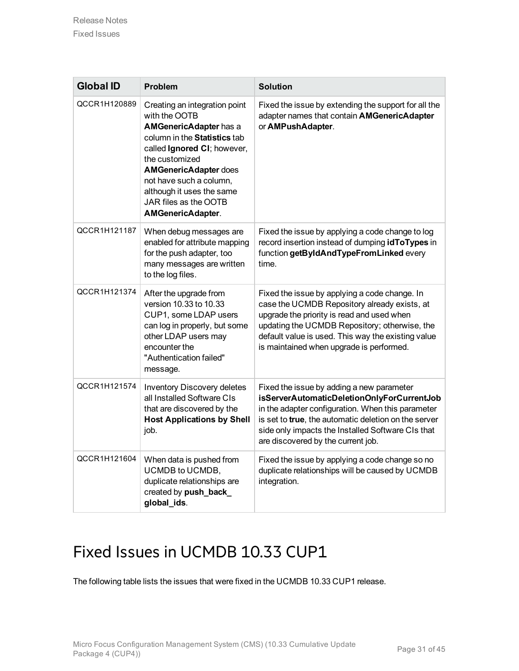| <b>Global ID</b> | Problem                                                                                                                                                                                                                                                                                                | <b>Solution</b>                                                                                                                                                                                                                                                                                 |
|------------------|--------------------------------------------------------------------------------------------------------------------------------------------------------------------------------------------------------------------------------------------------------------------------------------------------------|-------------------------------------------------------------------------------------------------------------------------------------------------------------------------------------------------------------------------------------------------------------------------------------------------|
| QCCR1H120889     | Creating an integration point<br>with the OOTB<br><b>AMGenericAdapter has a</b><br>column in the Statistics tab<br>called Ignored CI; however,<br>the customized<br><b>AMGenericAdapter does</b><br>not have such a column,<br>although it uses the same<br>JAR files as the OOTB<br>AMGenericAdapter. | Fixed the issue by extending the support for all the<br>adapter names that contain AMGenericAdapter<br>or AMPushAdapter.                                                                                                                                                                        |
| QCCR1H121187     | When debug messages are<br>enabled for attribute mapping<br>for the push adapter, too<br>many messages are written<br>to the log files.                                                                                                                                                                | Fixed the issue by applying a code change to log<br>record insertion instead of dumping idToTypes in<br>function getByIdAndTypeFromLinked every<br>time.                                                                                                                                        |
| QCCR1H121374     | After the upgrade from<br>version 10.33 to 10.33<br>CUP1, some LDAP users<br>can log in properly, but some<br>other LDAP users may<br>encounter the<br>"Authentication failed"<br>message.                                                                                                             | Fixed the issue by applying a code change. In<br>case the UCMDB Repository already exists, at<br>upgrade the priority is read and used when<br>updating the UCMDB Repository; otherwise, the<br>default value is used. This way the existing value<br>is maintained when upgrade is performed.  |
| QCCR1H121574     | <b>Inventory Discovery deletes</b><br>all Installed Software CIs<br>that are discovered by the<br><b>Host Applications by Shell</b><br>job.                                                                                                                                                            | Fixed the issue by adding a new parameter<br>isServerAutomaticDeletionOnlyForCurrentJob<br>in the adapter configuration. When this parameter<br>is set to true, the automatic deletion on the server<br>side only impacts the Installed Software CIs that<br>are discovered by the current job. |
| QCCR1H121604     | When data is pushed from<br>UCMDB to UCMDB,<br>duplicate relationships are<br>created by push_back_<br>global_ids.                                                                                                                                                                                     | Fixed the issue by applying a code change so no<br>duplicate relationships will be caused by UCMDB<br>integration.                                                                                                                                                                              |

## <span id="page-30-0"></span>Fixed Issues in UCMDB 10.33 CUP1

The following table lists the issues that were fixed in the UCMDB 10.33 CUP1 release.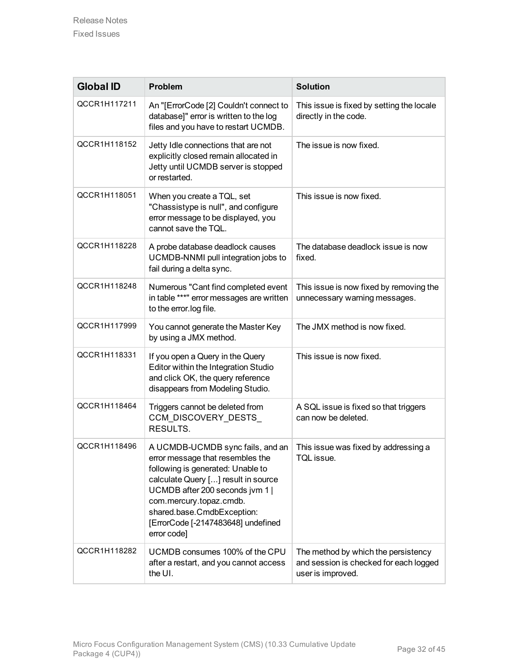| <b>Global ID</b> | <b>Problem</b>                                                                                                                                                                                                                                                                                    | <b>Solution</b>                                                                                    |
|------------------|---------------------------------------------------------------------------------------------------------------------------------------------------------------------------------------------------------------------------------------------------------------------------------------------------|----------------------------------------------------------------------------------------------------|
| QCCR1H117211     | An "[ErrorCode [2] Couldn't connect to<br>database]" error is written to the log<br>files and you have to restart UCMDB.                                                                                                                                                                          | This issue is fixed by setting the locale<br>directly in the code.                                 |
| QCCR1H118152     | Jetty Idle connections that are not<br>explicitly closed remain allocated in<br>Jetty until UCMDB server is stopped<br>or restarted.                                                                                                                                                              | The issue is now fixed.                                                                            |
| QCCR1H118051     | When you create a TQL, set<br>"Chassistype is null", and configure<br>error message to be displayed, you<br>cannot save the TQL.                                                                                                                                                                  | This issue is now fixed.                                                                           |
| QCCR1H118228     | A probe database deadlock causes<br>UCMDB-NNMI pull integration jobs to<br>fail during a delta sync.                                                                                                                                                                                              | The database deadlock issue is now<br>fixed.                                                       |
| QCCR1H118248     | Numerous "Cant find completed event<br>in table ***" error messages are written<br>to the error.log file.                                                                                                                                                                                         | This issue is now fixed by removing the<br>unnecessary warning messages.                           |
| QCCR1H117999     | You cannot generate the Master Key<br>by using a JMX method.                                                                                                                                                                                                                                      | The JMX method is now fixed.                                                                       |
| QCCR1H118331     | If you open a Query in the Query<br>Editor within the Integration Studio<br>and click OK, the query reference<br>disappears from Modeling Studio.                                                                                                                                                 | This issue is now fixed.                                                                           |
| QCCR1H118464     | Triggers cannot be deleted from<br>CCM_DISCOVERY_DESTS_<br>RESULTS.                                                                                                                                                                                                                               | A SQL issue is fixed so that triggers<br>can now be deleted.                                       |
| QCCR1H118496     | A UCMDB-UCMDB sync fails, and an<br>error message that resembles the<br>following is generated: Unable to<br>calculate Query [] result in source<br>UCMDB after 200 seconds jvm 1  <br>com.mercury.topaz.cmdb.<br>shared.base.CmdbException:<br>[ErrorCode [-2147483648] undefined<br>error code] | This issue was fixed by addressing a<br>TQL issue.                                                 |
| QCCR1H118282     | UCMDB consumes 100% of the CPU<br>after a restart, and you cannot access<br>the UI.                                                                                                                                                                                                               | The method by which the persistency<br>and session is checked for each logged<br>user is improved. |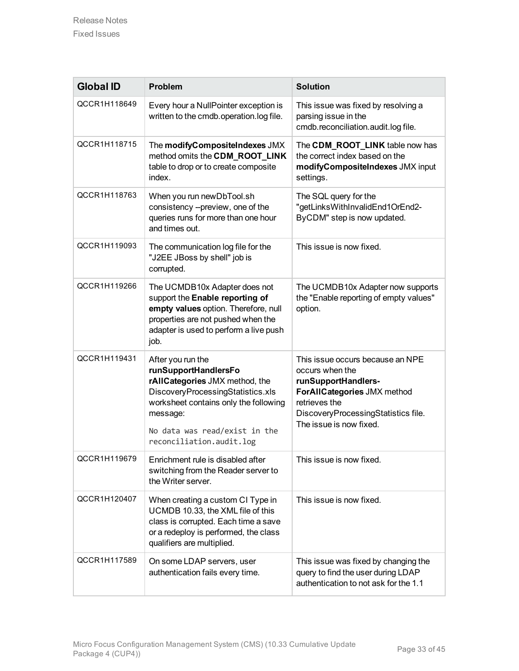| <b>Global ID</b> | <b>Problem</b>                                                                                                                                                                                                                     | <b>Solution</b>                                                                                                                                                                              |
|------------------|------------------------------------------------------------------------------------------------------------------------------------------------------------------------------------------------------------------------------------|----------------------------------------------------------------------------------------------------------------------------------------------------------------------------------------------|
| QCCR1H118649     | Every hour a NullPointer exception is<br>written to the cmdb.operation.log file.                                                                                                                                                   | This issue was fixed by resolving a<br>parsing issue in the<br>cmdb.reconciliation.audit.log file.                                                                                           |
| QCCR1H118715     | The modifyCompositeIndexes JMX<br>method omits the CDM_ROOT_LINK<br>table to drop or to create composite<br>index.                                                                                                                 | The CDM_ROOT_LINK table now has<br>the correct index based on the<br>modifyCompositeIndexes JMX input<br>settings.                                                                           |
| QCCR1H118763     | When you run newDbTool.sh<br>consistency --preview, one of the<br>queries runs for more than one hour<br>and times out.                                                                                                            | The SQL query for the<br>"getLinksWithInvalidEnd1OrEnd2-<br>ByCDM" step is now updated.                                                                                                      |
| QCCR1H119093     | The communication log file for the<br>"J2EE JBoss by shell" job is<br>corrupted.                                                                                                                                                   | This issue is now fixed.                                                                                                                                                                     |
| QCCR1H119266     | The UCMDB10x Adapter does not<br>support the Enable reporting of<br>empty values option. Therefore, null<br>properties are not pushed when the<br>adapter is used to perform a live push<br>job.                                   | The UCMDB10x Adapter now supports<br>the "Enable reporting of empty values"<br>option.                                                                                                       |
| QCCR1H119431     | After you run the<br>runSupportHandlersFo<br>rAIICategories JMX method, the<br>DiscoveryProcessingStatistics.xls<br>worksheet contains only the following<br>message:<br>No data was read/exist in the<br>reconciliation.audit.log | This issue occurs because an NPE<br>occurs when the<br>runSupportHandlers-<br>ForAIICategories JMX method<br>retrieves the<br>DiscoveryProcessingStatistics file.<br>The issue is now fixed. |
| QCCR1H119679     | Enrichment rule is disabled after<br>switching from the Reader server to<br>the Writer server.                                                                                                                                     | This issue is now fixed.                                                                                                                                                                     |
| QCCR1H120407     | When creating a custom CI Type in<br>UCMDB 10.33, the XML file of this<br>class is corrupted. Each time a save<br>or a redeploy is performed, the class<br>qualifiers are multiplied.                                              | This issue is now fixed.                                                                                                                                                                     |
| QCCR1H117589     | On some LDAP servers, user<br>authentication fails every time.                                                                                                                                                                     | This issue was fixed by changing the<br>query to find the user during LDAP<br>authentication to not ask for the 1.1                                                                          |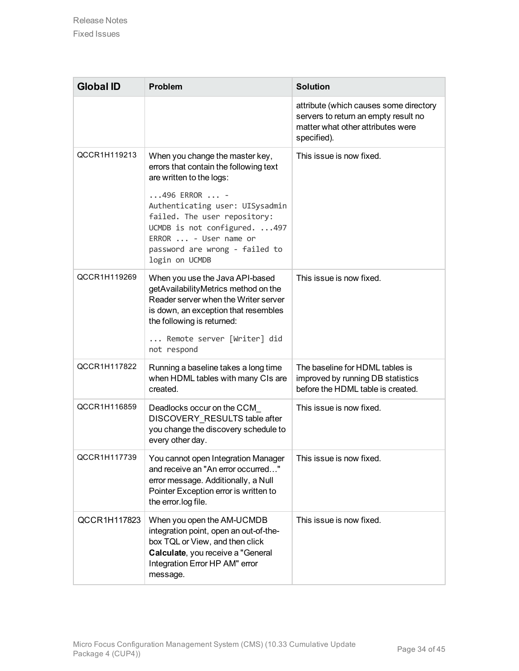| <b>Global ID</b> | <b>Problem</b>                                                                                                                                                                                                                                                                                            | <b>Solution</b>                                                                                                                    |
|------------------|-----------------------------------------------------------------------------------------------------------------------------------------------------------------------------------------------------------------------------------------------------------------------------------------------------------|------------------------------------------------------------------------------------------------------------------------------------|
|                  |                                                                                                                                                                                                                                                                                                           | attribute (which causes some directory<br>servers to return an empty result no<br>matter what other attributes were<br>specified). |
| QCCR1H119213     | When you change the master key,<br>errors that contain the following text<br>are written to the logs:<br>$496$ ERROR $$ -<br>Authenticating user: UISysadmin<br>failed. The user repository:<br>UCMDB is not configured. 497<br>ERROR  - User name or<br>password are wrong - failed to<br>login on UCMDB | This issue is now fixed.                                                                                                           |
| QCCR1H119269     | When you use the Java API-based<br>getAvailabilityMetrics method on the<br>Reader server when the Writer server<br>is down, an exception that resembles<br>the following is returned:<br>Remote server [Writer] did<br>not respond                                                                        | This issue is now fixed.                                                                                                           |
| QCCR1H117822     | Running a baseline takes a long time<br>when HDML tables with many CIs are<br>created.                                                                                                                                                                                                                    | The baseline for HDML tables is<br>improved by running DB statistics<br>before the HDML table is created.                          |
| QCCR1H116859     | Deadlocks occur on the CCM<br>DISCOVERY_RESULTS table after<br>you change the discovery schedule to<br>every other day.                                                                                                                                                                                   | This issue is now fixed.                                                                                                           |
| QCCR1H117739     | You cannot open Integration Manager<br>and receive an "An error occurred"<br>error message. Additionally, a Null<br>Pointer Exception error is written to<br>the error.log file.                                                                                                                          | This issue is now fixed.                                                                                                           |
| QCCR1H117823     | When you open the AM-UCMDB<br>integration point, open an out-of-the-<br>box TQL or View, and then click<br>Calculate, you receive a "General<br>Integration Error HP AM" error<br>message.                                                                                                                | This issue is now fixed.                                                                                                           |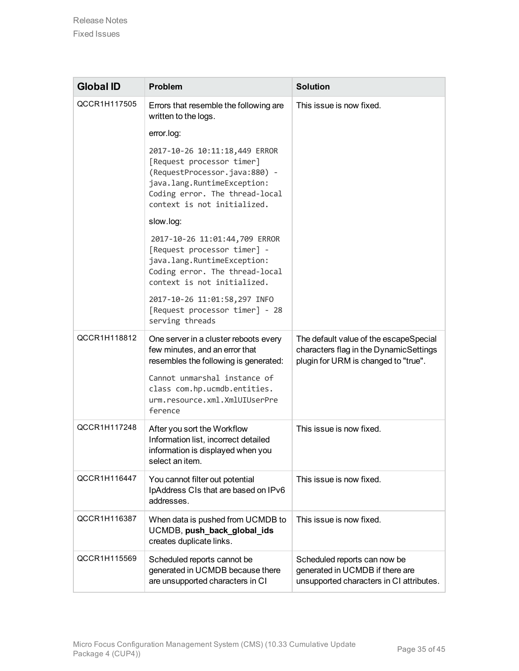| <b>Global ID</b> | <b>Problem</b>                                                                                                                                                                              | <b>Solution</b>                                                                                                          |
|------------------|---------------------------------------------------------------------------------------------------------------------------------------------------------------------------------------------|--------------------------------------------------------------------------------------------------------------------------|
| QCCR1H117505     | Errors that resemble the following are<br>written to the logs.                                                                                                                              | This issue is now fixed.                                                                                                 |
|                  | error.log:                                                                                                                                                                                  |                                                                                                                          |
|                  | 2017-10-26 10:11:18,449 ERROR<br>[Request processor timer]<br>(RequestProcessor.java:880) -<br>java.lang.RuntimeException:<br>Coding error. The thread-local<br>context is not initialized. |                                                                                                                          |
|                  | slow.log:                                                                                                                                                                                   |                                                                                                                          |
|                  | 2017-10-26 11:01:44,709 ERROR<br>[Request processor timer] -<br>java.lang.RuntimeException:<br>Coding error. The thread-local<br>context is not initialized.                                |                                                                                                                          |
|                  | 2017-10-26 11:01:58,297 INFO<br>[Request processor timer] - 28<br>serving threads                                                                                                           |                                                                                                                          |
| QCCR1H118812     | One server in a cluster reboots every<br>few minutes, and an error that<br>resembles the following is generated:                                                                            | The default value of the escapeSpecial<br>characters flag in the DynamicSettings<br>plugin for URM is changed to "true". |
|                  | Cannot unmarshal instance of<br>class com.hp.ucmdb.entities.<br>urm.resource.xml.XmlUIUserPre<br>ference                                                                                    |                                                                                                                          |
| QCCR1H117248     | After you sort the Workflow<br>Information list, incorrect detailed<br>information is displayed when you<br>select an item.                                                                 | This issue is now fixed.                                                                                                 |
| QCCR1H116447     | You cannot filter out potential<br>IpAddress CIs that are based on IPv6<br>addresses.                                                                                                       | This issue is now fixed.                                                                                                 |
| QCCR1H116387     | When data is pushed from UCMDB to<br>UCMDB, push_back_global_ids<br>creates duplicate links.                                                                                                | This issue is now fixed.                                                                                                 |
| QCCR1H115569     | Scheduled reports cannot be<br>generated in UCMDB because there<br>are unsupported characters in CI                                                                                         | Scheduled reports can now be<br>generated in UCMDB if there are<br>unsupported characters in CI attributes.              |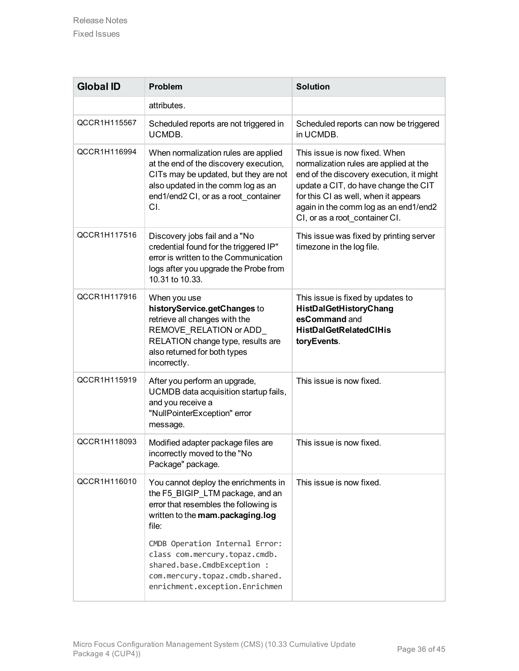| <b>Global ID</b> | <b>Problem</b>                                                                                                                                                                                                                    | <b>Solution</b>                                                                                                                                                                                                                                                                |
|------------------|-----------------------------------------------------------------------------------------------------------------------------------------------------------------------------------------------------------------------------------|--------------------------------------------------------------------------------------------------------------------------------------------------------------------------------------------------------------------------------------------------------------------------------|
|                  | attributes.                                                                                                                                                                                                                       |                                                                                                                                                                                                                                                                                |
| QCCR1H115567     | Scheduled reports are not triggered in<br>UCMDB.                                                                                                                                                                                  | Scheduled reports can now be triggered<br>in UCMDB.                                                                                                                                                                                                                            |
| QCCR1H116994     | When normalization rules are applied<br>at the end of the discovery execution,<br>CITs may be updated, but they are not<br>also updated in the comm log as an<br>end1/end2 CI, or as a root container<br>CI.                      | This issue is now fixed. When<br>normalization rules are applied at the<br>end of the discovery execution, it might<br>update a CIT, do have change the CIT<br>for this CI as well, when it appears<br>again in the comm log as an end1/end2<br>CI, or as a root_container CI. |
| QCCR1H117516     | Discovery jobs fail and a "No<br>credential found for the triggered IP"<br>error is written to the Communication<br>logs after you upgrade the Probe from<br>10.31 to 10.33.                                                      | This issue was fixed by printing server<br>timezone in the log file.                                                                                                                                                                                                           |
| QCCR1H117916     | When you use<br>historyService.getChanges to<br>retrieve all changes with the<br>REMOVE_RELATION or ADD_<br>RELATION change type, results are<br>also returned for both types<br>incorrectly.                                     | This issue is fixed by updates to<br>HistDalGetHistoryChang<br>esCommand and<br><b>HistDalGetRelatedClHis</b><br>toryEvents.                                                                                                                                                   |
| QCCR1H115919     | After you perform an upgrade,<br>UCMDB data acquisition startup fails,<br>and you receive a<br>"NullPointerException" error<br>message.                                                                                           | This issue is now fixed.                                                                                                                                                                                                                                                       |
| QCCR1H118093     | Modified adapter package files are<br>incorrectly moved to the "No<br>Package" package.                                                                                                                                           | This issue is now fixed.                                                                                                                                                                                                                                                       |
| QCCR1H116010     | You cannot deploy the enrichments in<br>the F5 BIGIP LTM package, and an<br>error that resembles the following is<br>written to the mam.packaging.log<br>file:<br>CMDB Operation Internal Error:<br>class com.mercury.topaz.cmdb. | This issue is now fixed.                                                                                                                                                                                                                                                       |
|                  | shared.base.CmdbException :<br>com.mercury.topaz.cmdb.shared.<br>enrichment.exception.Enrichmen                                                                                                                                   |                                                                                                                                                                                                                                                                                |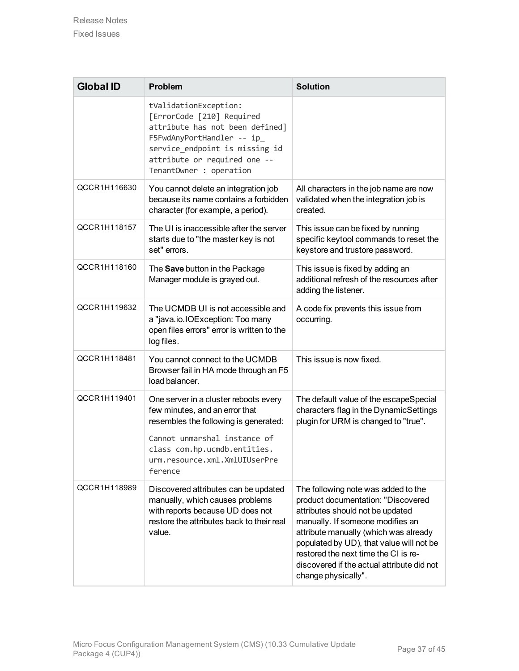| <b>Global ID</b> | <b>Problem</b>                                                                                                                                                                                                               | <b>Solution</b>                                                                                                                                                                                                                                                                                                                                     |
|------------------|------------------------------------------------------------------------------------------------------------------------------------------------------------------------------------------------------------------------------|-----------------------------------------------------------------------------------------------------------------------------------------------------------------------------------------------------------------------------------------------------------------------------------------------------------------------------------------------------|
|                  | tValidationException:<br>[ErrorCode [210] Required<br>attribute has not been defined]<br>F5FwdAnyPortHandler -- ip<br>service_endpoint is missing id<br>attribute or required one --<br>TenantOwner : operation              |                                                                                                                                                                                                                                                                                                                                                     |
| QCCR1H116630     | You cannot delete an integration job<br>because its name contains a forbidden<br>character (for example, a period).                                                                                                          | All characters in the job name are now<br>validated when the integration job is<br>created.                                                                                                                                                                                                                                                         |
| QCCR1H118157     | The UI is inaccessible after the server<br>starts due to "the master key is not<br>set" errors.                                                                                                                              | This issue can be fixed by running<br>specific keytool commands to reset the<br>keystore and trustore password.                                                                                                                                                                                                                                     |
| QCCR1H118160     | The Save button in the Package<br>Manager module is grayed out.                                                                                                                                                              | This issue is fixed by adding an<br>additional refresh of the resources after<br>adding the listener.                                                                                                                                                                                                                                               |
| QCCR1H119632     | The UCMDB UI is not accessible and<br>a "java.io.IOException: Too many<br>open files errors" error is written to the<br>log files.                                                                                           | A code fix prevents this issue from<br>occurring.                                                                                                                                                                                                                                                                                                   |
| QCCR1H118481     | You cannot connect to the UCMDB<br>Browser fail in HA mode through an F5<br>load balancer.                                                                                                                                   | This issue is now fixed.                                                                                                                                                                                                                                                                                                                            |
| QCCR1H119401     | One server in a cluster reboots every<br>few minutes, and an error that<br>resembles the following is generated:<br>Cannot unmarshal instance of<br>class com.hp.ucmdb.entities.<br>urm.resource.xml.XmlUIUserPre<br>ference | The default value of the escapeSpecial<br>characters flag in the DynamicSettings<br>plugin for URM is changed to "true".                                                                                                                                                                                                                            |
| QCCR1H118989     | Discovered attributes can be updated<br>manually, which causes problems<br>with reports because UD does not<br>restore the attributes back to their real<br>value.                                                           | The following note was added to the<br>product documentation: "Discovered<br>attributes should not be updated<br>manually. If someone modifies an<br>attribute manually (which was already<br>populated by UD), that value will not be<br>restored the next time the CI is re-<br>discovered if the actual attribute did not<br>change physically". |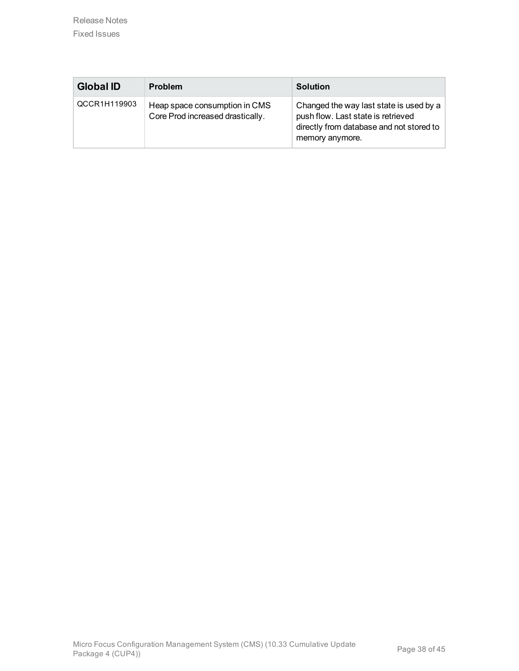| <b>Global ID</b> | <b>Problem</b>                                                    | <b>Solution</b>                                                                                                                              |
|------------------|-------------------------------------------------------------------|----------------------------------------------------------------------------------------------------------------------------------------------|
| QCCR1H119903     | Heap space consumption in CMS<br>Core Prod increased drastically. | Changed the way last state is used by a<br>push flow. Last state is retrieved<br>directly from database and not stored to<br>memory anymore. |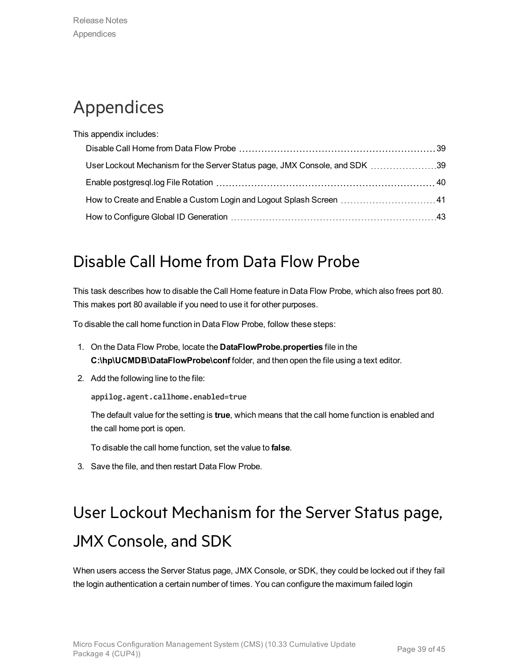## <span id="page-38-0"></span>Appendices

| This appendix includes:                                                    |  |
|----------------------------------------------------------------------------|--|
|                                                                            |  |
| User Lockout Mechanism for the Server Status page, JMX Console, and SDK 39 |  |
|                                                                            |  |
|                                                                            |  |
|                                                                            |  |

## <span id="page-38-1"></span>Disable Call Home from Data Flow Probe

This task describes how to disable the Call Home feature in Data Flow Probe, which also frees port 80. This makes port 80 available if you need to use it for other purposes.

To disable the call home function in Data Flow Probe, follow these steps:

- 1. On the Data Flow Probe, locate the **DataFlowProbe.properties** file in the **C:\hp\UCMDB\DataFlowProbe\conf** folder, and then open the file using a text editor.
- 2. Add the following line to the file:

**appilog.agent.callhome.enabled=true**

The default value for the setting is **true**, which means that the call home function is enabled and the call home port is open.

To disable the call home function, set the value to **false**.

<span id="page-38-2"></span>3. Save the file, and then restart Data Flow Probe.

# User Lockout Mechanism for the Server Status page, JMX Console, and SDK

When users access the Server Status page, JMX Console, or SDK, they could be locked out if they fail the login authentication a certain number of times. You can configure the maximum failed login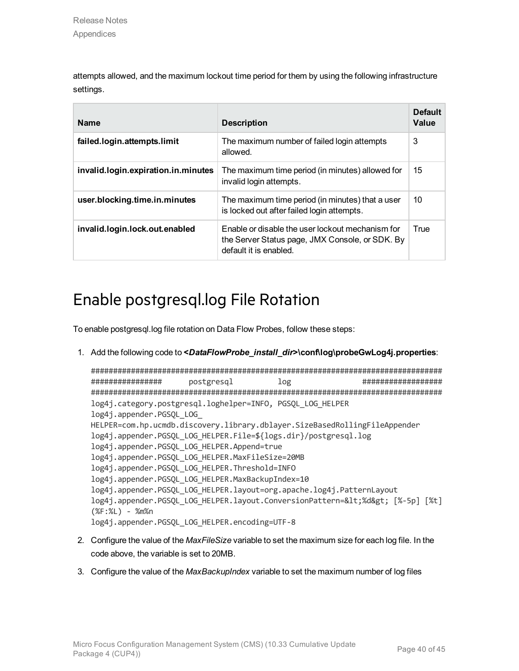attempts allowed, and the maximum lockout time period for them by using the following infrastructure settings.

| <b>Name</b>                         | <b>Description</b>                                                                                                            | <b>Default</b><br>Value |
|-------------------------------------|-------------------------------------------------------------------------------------------------------------------------------|-------------------------|
| failed.login.attempts.limit         | The maximum number of failed login attempts<br>allowed.                                                                       | 3                       |
| invalid.login.expiration.in.minutes | The maximum time period (in minutes) allowed for<br>invalid login attempts.                                                   | 15                      |
| user.blocking.time.in.minutes       | The maximum time period (in minutes) that a user<br>is locked out after failed login attempts.                                | 10                      |
| invalid.login.lock.out.enabled      | Enable or disable the user lockout mechanism for<br>the Server Status page, JMX Console, or SDK. By<br>default it is enabled. | True                    |

## <span id="page-39-0"></span>Enable postgresql.log File Rotation

To enable postgresql.log file rotation on Data Flow Probes, follow these steps:

1. Add the following code to **<***DataFlowProbe\_install\_dir***>\conf\log\probeGwLog4j.properties**:

```
###############################################################################
################ postgresql log ##################
###############################################################################
log4j.category.postgresql.loghelper=INFO, PGSQL_LOG_HELPER
log4j.appender.PGSQL_LOG_
HELPER=com.hp.ucmdb.discovery.library.dblayer.SizeBasedRollingFileAppender
log4j.appender.PGSQL_LOG_HELPER.File=${logs.dir}/postgresql.log
log4j.appender.PGSQL_LOG_HELPER.Append=true
log4j.appender.PGSQL_LOG_HELPER.MaxFileSize=20MB
log4j.appender.PGSQL_LOG_HELPER.Threshold=INFO
log4j.appender.PGSQL_LOG_HELPER.MaxBackupIndex=10
log4j.appender.PGSQL_LOG_HELPER.layout=org.apache.log4j.PatternLayout
log4j.appender.PGSOL_LOG_HELPER.layout.ConversionPattern=<%d&gt; [%-5p] [%t]
(%F:%L) - %m%n
log4j.appender.PGSQL_LOG_HELPER.encoding=UTF-8
```
- 2. Configure the value of the *MaxFileSize* variable to set the maximum size for each log file. In the code above, the variable is set to 20MB.
- 3. Configure the value of the *MaxBackupIndex* variable to set the maximum number of log files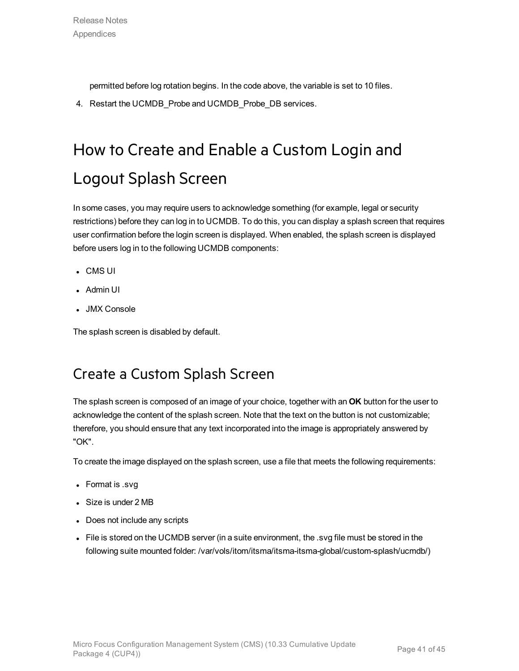permitted before log rotation begins. In the code above, the variable is set to 10 files.

<span id="page-40-0"></span>4. Restart the UCMDB\_Probe and UCMDB\_Probe\_DB services.

# How to Create and Enable a Custom Login and Logout Splash Screen

In some cases, you may require users to acknowledge something (for example, legal or security restrictions) before they can log in to UCMDB. To do this, you can display a splash screen that requires user confirmation before the login screen is displayed. When enabled, the splash screen is displayed before users log in to the following UCMDB components:

- $\cdot$  CMS UI
- Admin UI
- JMX Console

<span id="page-40-1"></span>The splash screen is disabled by default.

### Create a Custom Splash Screen

The splash screen is composed of an image of your choice, together with an **OK** button for the user to acknowledge the content of the splash screen. Note that the text on the button is not customizable; therefore, you should ensure that any text incorporated into the image is appropriately answered by "OK".

To create the image displayed on the splash screen, use a file that meets the following requirements:

- Format is .svg
- Size is under 2 MB
- Does not include any scripts
- File is stored on the UCMDB server (in a suite environment, the .svg file must be stored in the following suite mounted folder: /var/vols/itom/itsma/itsma-itsma-global/custom-splash/ucmdb/)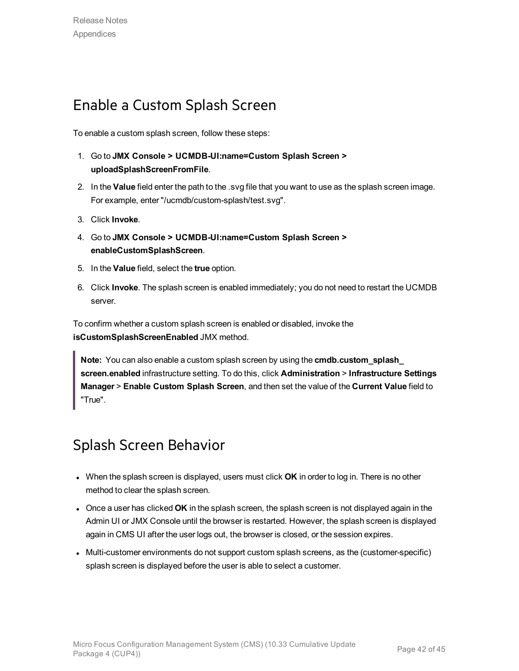### <span id="page-41-0"></span>Enable a Custom Splash Screen

To enable a custom splash screen, follow these steps:

- 1. Go to **JMX Console > UCMDB-UI:name=Custom Splash Screen > uploadSplashScreenFromFile**.
- 2. In the **Value** field enter the path to the .svg file that you want to use as the splash screen image. For example, enter "/ucmdb/custom-splash/test.svg".
- 3. Click **Invoke**.
- 4. Go to **JMX Console > UCMDB-UI:name=Custom Splash Screen > enableCustomSplashScreen**.
- 5. In the **Value** field, select the **true** option.
- 6. Click **Invoke**. The splash screen is enabled immediately; you do not need to restart the UCMDB server.

To confirm whether a custom splash screen is enabled or disabled, invoke the **isCustomSplashScreenEnabled** JMX method.

**Note:** You can also enable a custom splash screen by using the **cmdb.custom\_splash\_ screen.enabled** infrastructure setting. To do this, click **Administration** > **Infrastructure Settings Manager** > **Enable Custom Splash Screen**, and then set the value of the **Current Value** field to "True".

### <span id="page-41-1"></span>Splash Screen Behavior

- **When the splash screen is displayed, users must click OK** in order to log in. There is no other method to clear the splash screen.
- **.** Once a user has clicked OK in the splash screen, the splash screen is not displayed again in the Admin UI or JMX Console until the browser is restarted. However, the splash screen is displayed again in CMS UI after the user logs out, the browser is closed, or the session expires.
- Multi-customer environments do not support custom splash screens, as the (customer-specific) splash screen is displayed before the user is able to select a customer.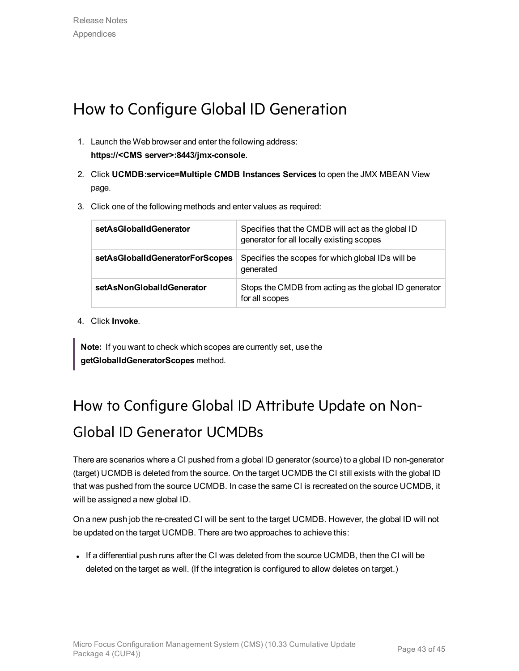## <span id="page-42-0"></span>How to Configure Global ID Generation

- 1. Launch the Web browser and enter the following address: **https://<CMS server>:8443/jmx-console**.
- 2. Click **UCMDB:service=Multiple CMDB Instances Services** to open the JMX MBEAN View page.
- 3. Click one of the following methods and enter values as required:

| setAsGlobalIdGenerator          | Specifies that the CMDB will act as the global ID<br>generator for all locally existing scopes |
|---------------------------------|------------------------------------------------------------------------------------------------|
| setAsGlobalIdGeneratorForScopes | Specifies the scopes for which global IDs will be<br>generated                                 |
| setAsNonGlobalIdGenerator       | Stops the CMDB from acting as the global ID generator<br>for all scopes                        |

4. Click **Invoke**.

**Note:** If you want to check which scopes are currently set, use the **getGlobalIdGeneratorScopes** method.

## <span id="page-42-1"></span>How to Configure Global ID Attribute Update on Non-Global ID Generator UCMDBs

There are scenarios where a CI pushed from a global ID generator (source) to a global ID non-generator (target) UCMDB is deleted from the source. On the target UCMDB the CI still exists with the global ID that was pushed from the source UCMDB. In case the same CI is recreated on the source UCMDB, it will be assigned a new global ID.

On a new push job the re-created CI will be sent to the target UCMDB. However, the global ID will not be updated on the target UCMDB. There are two approaches to achieve this:

If a differential push runs after the CI was deleted from the source UCMDB, then the CI will be deleted on the target as well. (If the integration is configured to allow deletes on target.)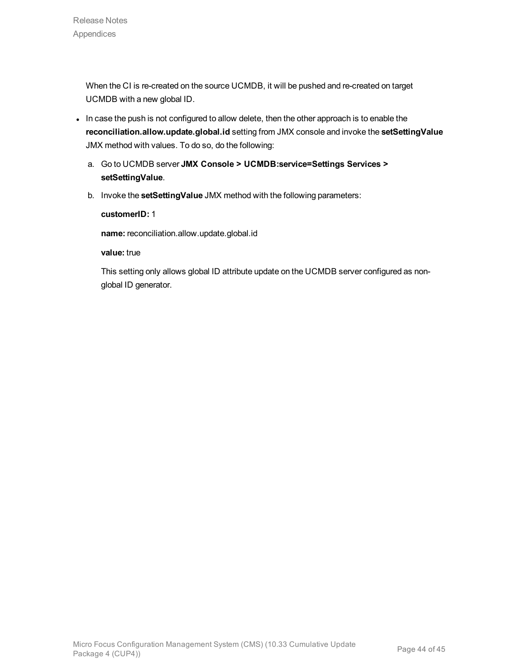When the CI is re-created on the source UCMDB, it will be pushed and re-created on target UCMDB with a new global ID.

- In case the push is not configured to allow delete, then the other approach is to enable the **reconciliation.allow.update.global.id** setting from JMX console and invoke the **setSettingValue** JMX method with values. To do so, do the following:
	- a. Go to UCMDB server **JMX Console > UCMDB:service=Settings Services > setSettingValue**.
	- b. Invoke the **setSettingValue** JMX method with the following parameters:

**customerID:** 1

**name:** reconciliation.allow.update.global.id

**value:** true

This setting only allows global ID attribute update on the UCMDB server configured as nonglobal ID generator.